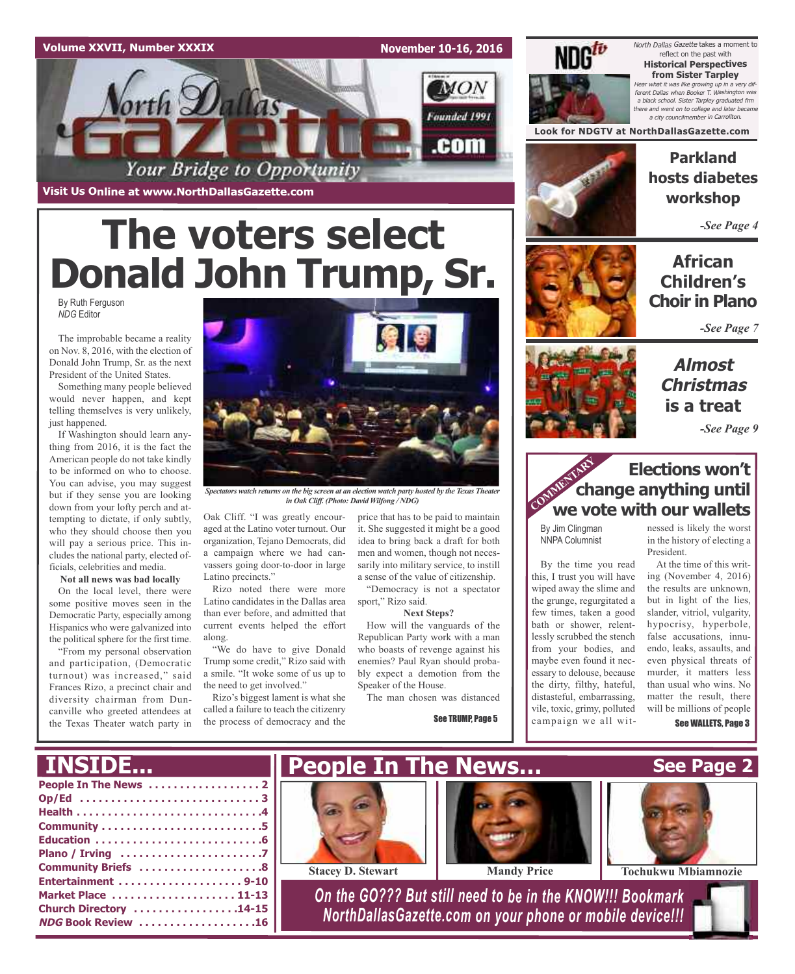#### **Volume XXVII, Number XXXIX**

**November 10-16, 2016**



# **The voters select Donald John Trump, Sr.**

By Ruth Ferguson *NDG* Editor

The improbable became a reality on Nov. 8, 2016, with the election of Donald John Trump, Sr. as the next President of the United States.

Something many people believed would never happen, and kept telling themselves is very unlikely, just happened.

If Washington should learn anything from 2016, it is the fact the American people do not take kindly to be informed on who to choose. You can advise, you may suggest but if they sense you are looking down from your lofty perch and attempting to dictate, if only subtly, who they should choose then you will pay a serious price. This includes the national party, elected officials, celebrities and media.

#### **Not all news was bad locally**

On the local level, there were some positive moves seen in the Democratic Party, especially among Hispanics who were galvanized into the political sphere for the first time.

"From my personal observation and participation, (Democratic turnout) was increased," said Frances Rizo, a precinct chair and diversity chairman from Duncanville who greeted attendees at the Texas Theater watch party in



*Spectators watch returns on the big screen at an election watch party hosted by the Texas Theater in Oak Cliff. (Photo: David Wilfong / NDG)*

Oak Cliff. "I was greatly encouraged at the Latino voter turnout. Our organization, Tejano Democrats, did a campaign where we had canvassers going door-to-door in large Latino precincts."

Rizo noted there were more Latino candidates in the Dallas area than ever before, and admitted that current events helped the effort along.

"We do have to give Donald Trump some credit," Rizo said with a smile. "It woke some of us up to the need to get involved."

Rizo's biggest lament is what she called a failure to teach the citizenry the process of democracy and the price that has to be paid to maintain it. She suggested it might be a good idea to bring back a draft for both men and women, though not necessarily into military service, to instill a sense of the value of citizenship. "Democracy is not a spectator

sport," Rizo said.

#### **Next Steps?**

How will the vanguards of the Republican Party work with a man who boasts of revenge against his enemies? Paul Ryan should probably expect a demotion from the Speaker of the House.

The man chosen was distanced

See TRUMP, Page 5



## **Parkland hosts diabetes workshop Look for NDGTV at NorthDallasGazette.com**

North Dallas Gazette takes a moment to reflect on the past with **Historical Perspectives from Sister Tarpley** Hear what it was like growing up in <sup>a</sup> very different Dallas when Booker T. Washington was <sup>a</sup> black school. Sister Tarpley graduated frm there and went on to college and later became a city councilmember in Carrol

*-See Page 4*

## **African Children's Choir in Plano**

*-See Page 7*

## **Almost Christmas is a treat**

*-See Page 9*

## **Elections won't change anything until Elections won't**<br> **We vote with our wallets**

By Jim Clingman NNPA Columnist

By the time you read this, I trust you will have wiped away the slime and the grunge, regurgitated a few times, taken a good bath or shower, relentlessly scrubbed the stench from your bodies, and maybe even found it necessary to delouse, because the dirty, filthy, hateful, distasteful, embarrassing, vile, toxic, grimy, polluted campaign we all witnessed is likely the worst in the history of electing a President.

At the time of this writing (November 4, 2016) the results are unknown, but in light of the lies, slander, vitriol, vulgarity, hypocrisy, hyperbole, false accusations, innuendo, leaks, assaults, and even physical threats of murder, it matters less than usual who wins. No matter the result, there will be millions of people

See WALLETS, Page 3

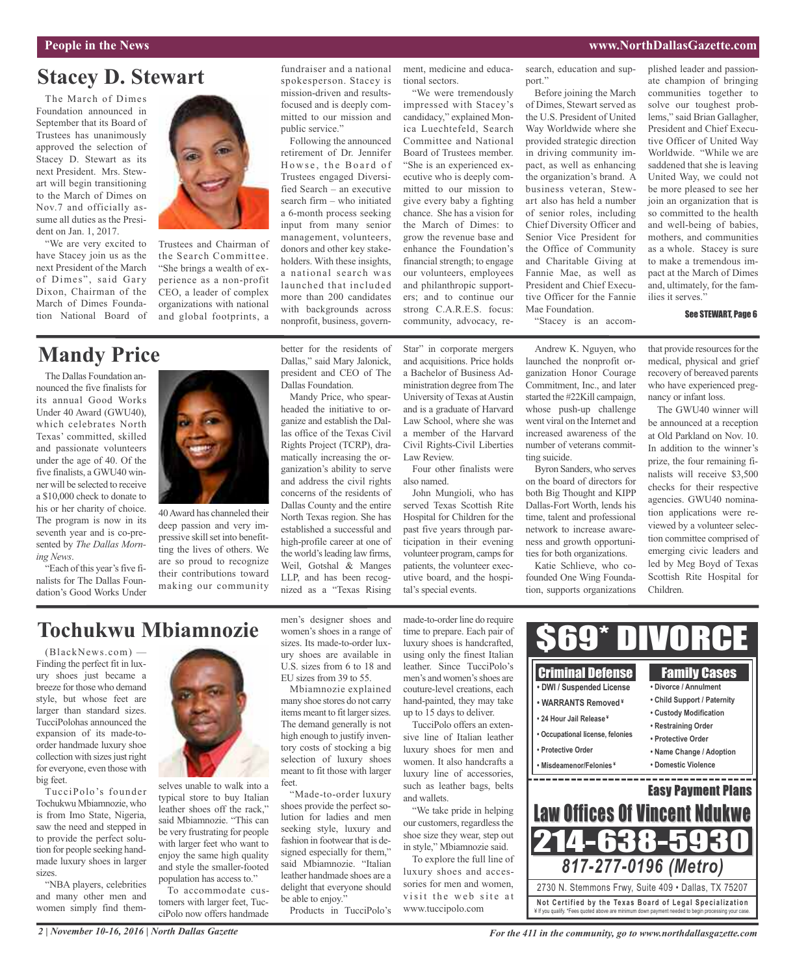## **Stacey D. Stewart**

The March of Dimes Foundation announced in September that its Board of Trustees has unanimously approved the selection of Stacey D. Stewart as its next President. Mrs. Stewart will begin transitioning to the March of Dimes on Nov.7 and officially assume all duties as the President on Jan. 1, 2017.

"We are very excited to have Stacey join us as the next President of the March of Dimes", said Gary Dixon, Chairman of the March of Dimes Foundation National Board of



Trustees and Chairman of the Search Committee. "She brings a wealth of experience as a non-profit CEO, a leader of complex organizations with national and global footprints, a

## **Mandy Price**

The Dallas Foundation announced the five finalists for its annual Good Works Under 40 Award (GWU40), which celebrates North Texas' committed, skilled and passionate volunteers under the age of 40. Of the five finalists, a GWU40 winner will be selected to receive a \$10,000 check to donate to his or her charity of choice. The program is now in its seventh year and is co-presented by *The Dallas Morning News*.

"Each of this year's five finalists for The Dallas Foundation's Good Works Under



40Award has channeled their deep passion and very impressive skill set into benefitting the lives of others. We are so proud to recognize their contributions toward making our community

fundraiser and a national spokesperson. Stacey is mission-driven and resultsfocused and is deeply committed to our mission and public service."

Following the announced retirement of Dr. Jennifer Howse, the Board of Trustees engaged Diversified Search – an executive search firm – who initiated a 6-month process seeking input from many senior management, volunteers, donors and other key stakeholders. With these insights, a national search was launched that included more than 200 candidates with backgrounds across nonprofit, business, govern-

better for the residents of Dallas," said Mary Jalonick, president and CEO of The

Mandy Price, who spearheaded the initiative to organize and establish the Dallas office of the Texas Civil Rights Project (TCRP), dramatically increasing the organization's ability to serve and address the civil rights concerns of the residents of Dallas County and the entire North Texas region. She has established a successful and high-profile career at one of the world's leading law firms, Weil, Gotshal & Manges LLP, and has been recognized as a "Texas Rising

Dallas Foundation.

ment, medicine and educational sectors.

"We were tremendously impressed with Stacey's candidacy," explained Monica Luechtefeld, Search Committee and National Board of Trustees member. "She is an experienced executive who is deeply committed to our mission to give every baby a fighting chance. She has a vision for the March of Dimes: to grow the revenue base and enhance the Foundation's financial strength; to engage our volunteers, employees and philanthropic supporters; and to continue our strong C.A.R.E.S. focus: community, advocacy, re-

a member of the Harvard Civil Rights-Civil Liberties

Four other finalists were

John Mungioli, who has served Texas Scottish Rite Hospital for Children for the past five years through participation in their evening volunteer program, camps for patients, the volunteer executive board, and the hospi-

Law Review.

also named.

tal's special events.

Before joining the March of Dimes, Stewart served as the U.S. President of United Way Worldwide where she

search, education and sup-

port."

provided strategic direction in driving community impact, as well as enhancing the organization's brand. A business veteran, Stewart also has held a number of senior roles, including Chief Diversity Officer and Senior Vice President for the Office of Community and Charitable Giving at Fannie Mae, as well as President and Chief Executive Officer for the Fannie Mae Foundation.

"Stacey is an accom-

ate champion of bringing communities together to solve our toughest problems," said Brian Gallagher, President and Chief Executive Officer of United Way Worldwide. "While we are saddened that she is leaving United Way, we could not be more pleased to see her join an organization that is so committed to the health and well-being of babies, mothers, and communities as a whole. Stacey is sure to make a tremendous impact at the March of Dimes and, ultimately, for the families it serves."

plished leader and passion-

#### See STEWART, Page 6

Star" in corporate mergers and acquisitions. Price holds a Bachelor of Business Administration degree fromThe University of Texas at Austin and is a graduate of Harvard Law School, where she was Andrew K. Nguyen, who launched the nonprofit organization Honor Courage Commitment, Inc., and later started the #22Kill campaign, whose push-up challenge

went viral on the Internet and increased awareness of the number of veterans committing suicide. Byron Sanders, who serves on the board of directors for both Big Thought and KIPP

Dallas-Fort Worth, lends his time, talent and professional network to increase awareness and growth opportunities for both organizations.

Katie Schlieve, who cofounded One Wing Foundation, supports organizations that provide resources for the medical, physical and grief recovery of bereaved parents who have experienced pregnancy or infant loss.

The GWU40 winner will be announced at a reception at Old Parkland on Nov. 10. In addition to the winner's prize, the four remaining finalists will receive \$3,500 checks for their respective agencies. GWU40 nomination applications were reviewed by a volunteer selection committee comprised of emerging civic leaders and led by Meg Boyd of Texas Scottish Rite Hospital for Children.

## **Tochukwu Mbiamnozie**

(BlackNews.com) — Finding the perfect fit in luxury shoes just became a breeze for those who demand style, but whose feet are larger than standard sizes. TucciPolohas announced the expansion of its made-toorder handmade luxury shoe collection with sizes just right for everyone, even those with big feet.

TucciPolo's founder Tochukwu Mbiamnozie, who is from Imo State, Nigeria, saw the need and stepped in to provide the perfect solution for people seeking handmade luxury shoes in larger sizes.

"NBA players, celebrities and many other men and women simply find them-



selves unable to walk into a typical store to buy Italian leather shoes off the rack," said Mbiamnozie. "This can be very frustrating for people with larger feet who want to enjoy the same high quality and style the smaller-footed population has access to."

To accommodate customers with larger feet, TucciPolo now offers handmade men's designer shoes and women's shoes in a range of sizes. Its made-to-order luxury shoes are available in U.S. sizes from 6 to 18 and EU sizes from 39 to 55.

Mbiamnozie explained many shoe stores do not carry items meant to fit larger sizes. The demand generally is not high enough to justify inventory costs of stocking a big selection of luxury shoes meant to fit those with larger feet.

"Made-to-order luxury shoes provide the perfect solution for ladies and men seeking style, luxury and fashion in footwear that is designed especially for them," said Mbiamnozie. "Italian leather handmade shoes are a delight that everyone should be able to enjoy."

Products in TucciPolo's

made-to-order line do require time to prepare. Each pair of luxury shoes is handcrafted, using only the finest Italian leather. Since TucciPolo's men's and women's shoes are couture-level creations, each hand-painted, they may take up to 15 days to deliver.

TucciPolo offers an extensive line of Italian leather luxury shoes for men and women. It also handcrafts a luxury line of accessories, such as leather bags, belts and wallets.

"We take pride in helping our customers, regardless the shoe size they wear, step out in style," Mbiamnozie said.

To explore the full line of luxury shoes and accessories for men and women, visit the web site at www.tuccipolo.com

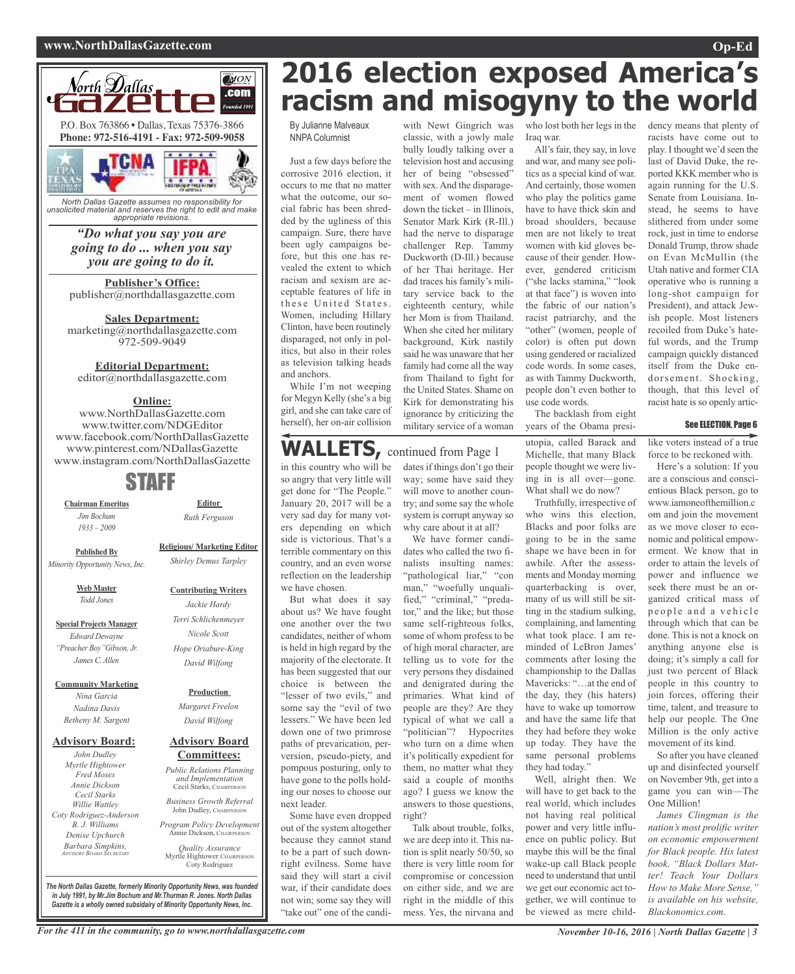#### **www.NorthDallasGazette.com Op-Ed**



*unsolicited material and reserves the right to edit and make appropriate revisions.*

## *"Do what you say you are going to do ... when you say you are going to do it.*

**Publisher's Office:** publisher@northdallasgazette.com

**Sales Department:** marketing@northdallasgazette.com 972-509-9049

#### **Editorial Department:**

editor@northdallasgazette.com

#### **Online:**

www.NorthDallasGazette.com www.twitter.com/NDGEditor www.facebook.com/NorthDallasGazette www.pinterest.com/NDallasGazette www.instagram.com/NorthDallasGazette

## STAFF

**Chairman Emeritus** *Jim Bochum 1933 – 2009*

**Religious/ Marketing Editor**

**Editor** *Ruth Ferguson*

**Published By** *Minority Opportunity News, Inc.*

> **Web Master** *Todd Jones*

**Special Projects Manager** *Edward Dewayne "Preacher Boy"Gibson, Jr. James C. Allen*

**Community Marketing**

*Nina Garcia Nadina Davis Betheny M. Sargent*

#### **Advisory Board:**

*John Dudley Myrtle Hightower Fred Moses Annie Dickson Cecil Starks Willie Wattley Coty Rodriguez-Anderson B. J. Williams Denise Upchurch Barbara Simpkins, ADVISORY BOARD SECRETARY*

# *Shirley Demus Tarpley*

## **Contributing Writers**

### *Jackie Hardy Terri Schlichenmeyer Nicole Scott Hope Oriabure-King David Wilfong*

**Production**

*Margaret Freelon David Wilfong*

#### **Advisory Board Committees:**

*Public Relations Planning and Implementation* Cecil Starks, CHAIRPERSON *Business Growth Referral*

John Dudley, CHAIRPERSO *Program Policy Development*

Annie Dickson, Chairper *Quality Assurance*

Myrtle Hightower, CHAIRPERSON Coty Rodriguez

*The North Dallas Gazette, formerly Minority Opportunity News, was founded in July 1991, by Mr.Jim Bochum and Mr.Thurman R. Jones. North Dallas Gazette is a wholly owned subsidairy of Minority Opportunity News, Inc.*

## **2016 election exposed America's racism and misogyny to the world**

By Julianne Malveaux NNPA Columnist

Just a few days before the corrosive 2016 election, it occurs to me that no matter what the outcome, our social fabric has been shredded by the ugliness of this campaign. Sure, there have been ugly campaigns before, but this one has revealed the extent to which racism and sexism are acceptable features of life in these United States. Women, including Hillary Clinton, have been routinely disparaged, not only in politics, but also in their roles as television talking heads and anchors.

While I'm not weeping for Megyn Kelly (she's a big girl, and she can take care of herself), her on-air collision

## **WALLETS,** continued from Page <sup>1</sup>

in this country who will be so angry that very little will get done for "The People." January 20, 2017 will be a very sad day for many voters depending on which side is victorious. That's a terrible commentary on this country, and an even worse reflection on the leadership we have chosen.

But what does it say about us? We have fought one another over the two candidates, neither of whom is held in high regard by the majority of the electorate. It has been suggested that our choice is between the "lesser of two evils," and some say the "evil of two lessers." We have been led down one of two primrose paths of prevarication, perversion, pseudo-piety, and pompous posturing, only to have gone to the polls holding our noses to choose our next leader.

Some have even dropped out of the system altogether because they cannot stand to be a part of such downright evilness. Some have said they will start a civil war, if their candidate does not win; some say they will "take out" one of the candiwith Newt Gingrich was classic, with a jowly male bully loudly talking over a television host and accusing her of being "obsessed" with sex.And the disparagement of women flowed down the ticket – in Illinois, Senator Mark Kirk (R-Ill.) had the nerve to disparage challenger Rep. Tammy Duckworth (D-Ill.) because of her Thai heritage. Her dad traces his family's military service back to the eighteenth century, while her Mom is from Thailand. When she cited her military background, Kirk nastily said he was unaware that her family had come all the way from Thailand to fight for the United States. Shame on Kirk for demonstrating his ignorance by criticizing the military service of a woman

dates if things don't go their way; some have said they will move to another country; and some say the whole system is corrupt anyway so why care about it at all?

We have former candidates who called the two finalists insulting names: "pathological liar," "con man," "woefully unqualified," "criminal," "predator," and the like; but those same self-righteous folks, some of whom profess to be of high moral character, are telling us to vote for the very persons they disdained and denigrated during the primaries. What kind of people are they? Are they typical of what we call a "politician"? Hypocrites who turn on a dime when it's politically expedient for them, no matter what they said a couple of months ago? I guess we know the answers to those questions, right?

Talk about trouble, folks, we are deep into it. This nation is split nearly 50/50, so there is very little room for compromise or concession on either side, and we are right in the middle of this mess. Yes, the nirvana and who lost both her legs in the Iraq war.

All's fair, they say, in love and war, and many see politics as a special kind of war. And certainly, those women who play the politics game have to have thick skin and broad shoulders, because men are not likely to treat women with kid gloves because of their gender. However, gendered criticism ("she lacks stamina," "look at that face") is woven into the fabric of our nation's racist patriarchy, and the "other" (women, people of color) is often put down using gendered or racialized code words. In some cases, as with Tammy Duckworth, people don't even bother to use code words.

The backlash from eight years of the Obama presi-

utopia, called Barack and Michelle, that many Black people thought we were living in is all over—gone. What shall we do now?

Truthfully, irrespective of who wins this election, Blacks and poor folks are going to be in the same shape we have been in for awhile. After the assessments and Monday morning quarterbacking is over, many of us will still be sitting in the stadium sulking, complaining, and lamenting what took place. I am reminded of LeBron James' comments after losing the championship to the Dallas Mavericks: "…at the end of the day, they (his haters) have to wake up tomorrow and have the same life that they had before they woke up today. They have the same personal problems they had today."

Well, alright then. We will have to get back to the real world, which includes not having real political power and very little influence on public policy. But maybe this will be the final wake-up call Black people need to understand that until we get our economic act together, we will continue to be viewed as mere childdency means that plenty of racists have come out to play. I thought we'd seen the last of David Duke, the reported KKK member who is again running for the U.S. Senate from Louisiana. Instead, he seems to have slithered from under some rock, just in time to endorse Donald Trump, throw shade on Evan McMullin (the Utah native and former CIA operative who is running a long-shot campaign for President), and attack Jewish people. Most listeners recoiled from Duke's hateful words, and the Trump campaign quickly distanced itself from the Duke endorsement. Shocking, though, that this level of racist hate is so openly artic-

#### See ELECTION, Page 6

like voters instead of a true force to be reckoned with.

Here's a solution: If you are a conscious and conscientious Black person, go to www.iamoneofthemillion.c om and join the movement as we move closer to economic and political empowerment. We know that in order to attain the levels of power and influence we seek there must be an organized critical mass of people and a vehicle through which that can be done. This is not a knock on anything anyone else is doing; it's simply a call for just two percent of Black people in this country to join forces, offering their time, talent, and treasure to help our people. The One Million is the only active movement of its kind.

So after you have cleaned up and disinfected yourself on November 9th, get into a game you can win—The One Million!

*James Clingman is the nation's most prolific writer on economic empowerment for Black people. His latest book, "Black Dollars Matter! Teach Your Dollars How to Make More Sense," is available on his website, Blackonomics.com.*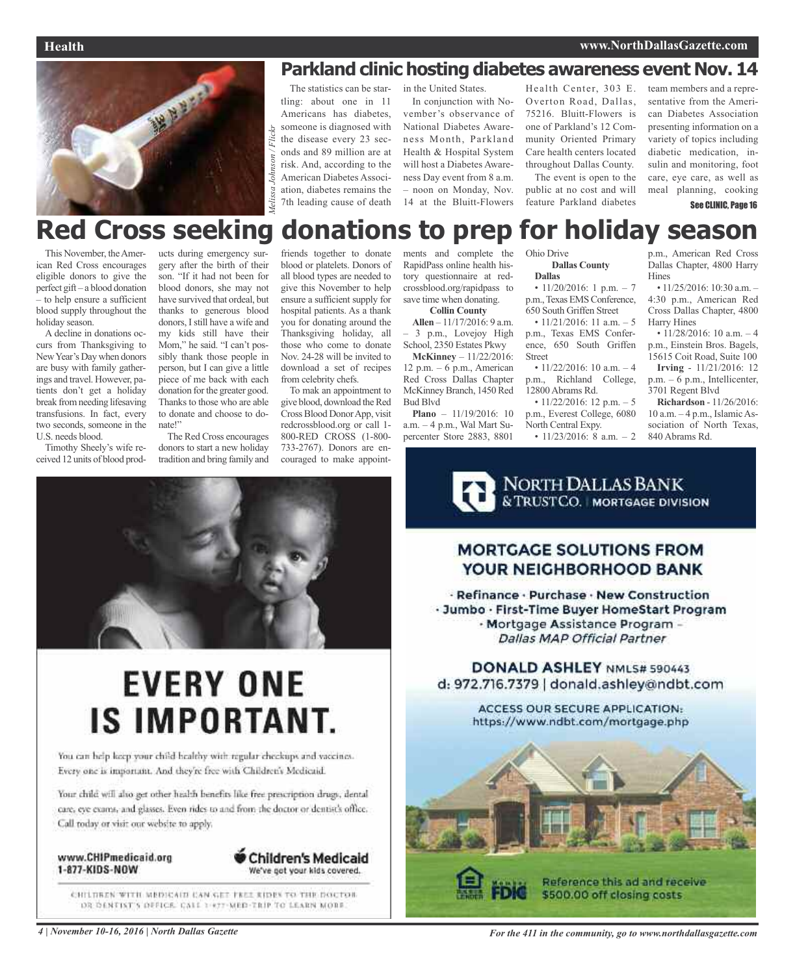

**Parkland clinic hosting diabetes awareness event Nov. 14**<br>The statistics can be star-<br>in the United States. Health Center, 303 E. team members and a repre-<br>ting: about one in 11 In conjunction with No- Overton Road, Dalla The statistics can be startling: about one in 11 Americans has diabetes, someone is diagnosed with the disease every 23 seconds and 89 million are at risk. And, according to the American Diabetes Association, diabetes remains the 7th leading cause of death

in the United States. In conjunction with November's observance of National Diabetes Awareness Month, Parkland Health & Hospital System will host a Diabetes Awareness Day event from 8 a.m. – noon on Monday, Nov. 14 at the Bluitt-Flowers Health Center, 303 E. Overton Road, Dallas, 75216. Bluitt-Flowers is one of Parkland's 12 Community Oriented Primary Care health centers located throughout Dallas County. The event is open to the

public at no cost and will feature Parkland diabetes

team members and a representative from the American Diabetes Association presenting information on a variety of topics including diabetic medication, insulin and monitoring, foot care, eye care, as well as meal planning, cooking See CLINIC, Page 16

## **Red Cross seeking donations to prep for holiday season**

This November, theAmerican Red Cross encourages eligible donors to give the perfect gift – a blood donation – to help ensure a sufficient blood supply throughout the holiday season.

A decline in donations occurs from Thanksgiving to NewYear's Day when donors are busy with family gatherings and travel. However, patients don't get a holiday break fromneeding lifesaving transfusions. In fact, every two seconds, someone in the U.S. needs blood.

Timothy Sheely's wife received 12 units of blood products during emergency surgery after the birth of their son. "If it had not been for blood donors, she may not have survived that ordeal, but thanks to generous blood donors, Istill have a wife and my kids still have their Mom," he said. "I can't possibly thank those people in person, but I can give a little piece of me back with each donation for the greater good. Thanks to those who are able to donate and choose to donate!"

The Red Cross encourages donors to start a new holiday tradition and bring family and

friends together to donate blood or platelets. Donors of all blood types are needed to give this November to help ensure a sufficient supply for hospital patients. As a thank you for donating around the Thanksgiving holiday, all those who come to donate Nov. 24-28 will be invited to download a set of recipes from celebrity chefs.

To mak an appointment to give blood, download the Red CrossBlood DonorApp, visit redcrossblood.org or call 1- 800-RED CROSS (1-800- 733-2767). Donors are encouraged to make appoint-



# **EVERY ONE IS IMPORTANT.**

You can help keep your child healthy with regular checkups and vaccines. Every one is important. And they're free with Children's Medicaid.

Your child will also get other health benefits like free prescription drugs, dental care, eye exams, and glasses. Even rides to and from the doctor or dentist's office; Call today or visit our website to apply.

www.CHIPmedicaid.org 1-877-KIDS-NOW



CHILDREN WITH MEDICAIN CAN GET FEET EIDES TO THE DOCTOR DR DENTIST'S OFFICE. CALL 1-877-MED-TRIP TO LEARN MORE.

ments and complete the RapidPass online health history questionnaire at redcrossblood.org/rapidpass to save time when donating. **Collin County**

**Allen** – 11/17/2016: 9 a.m. – 3 p.m., Lovejoy High School, 2350 Estates Pkwy

**McKinney** – 11/22/2016: 12 p.m.  $-6$  p.m., American Red Cross Dallas Chapter McKinney Branch, 1450 Red Bud Blvd

**Plano** – 11/19/2016: 10 a.m. – 4 p.m., Wal Mart Supercenter Store 2883, 8801

Ohio Drive

#### **Dallas County Dallas**

•  $11/20/2016$ : 1 p.m. - 7 p.m., Texas EMS Conference, 650 South Griffen Street

•  $11/21/2016$ : 11 a.m. - 5 p.m., Texas EMS Conference, 650 South Griffen Street

•  $11/22/2016$ : 10 a.m.  $-4$ p.m., Richland College, 12800 Abrams Rd.

•  $11/22/2016$ : 12 p.m. - 5 p.m., Everest College, 6080 North Central Expy.

•  $11/23/2016$ : 8 a.m. - 2

NORTH DALLAS BANK<br>& TRUSTCO. | MORTGAGE DIVISION

p.m., American Red Cross Dallas Chapter, 4800 Harry Hines

• 11/25/2016: 10:30 a.m. -4:30 p.m., American Red Cross Dallas Chapter, 4800 Harry Hines

• 11/28/2016: 10 a.m. - 4 p.m., Einstein Bros. Bagels, 15615 Coit Road, Suite 100

**Irving** - 11/21/2016: 12 p.m. – 6 p.m., Intellicenter, 3701 Regent Blvd

**Richardson** - 11/26/2016: 10 a.m. – 4 p.m., Islamic Association of North Texas, 840 Abrams Rd.



4 November 10-16, 2016 | North Dallas Gazette **State Assember 2016** For the 411 in the community, go to www.northdallasgazette.com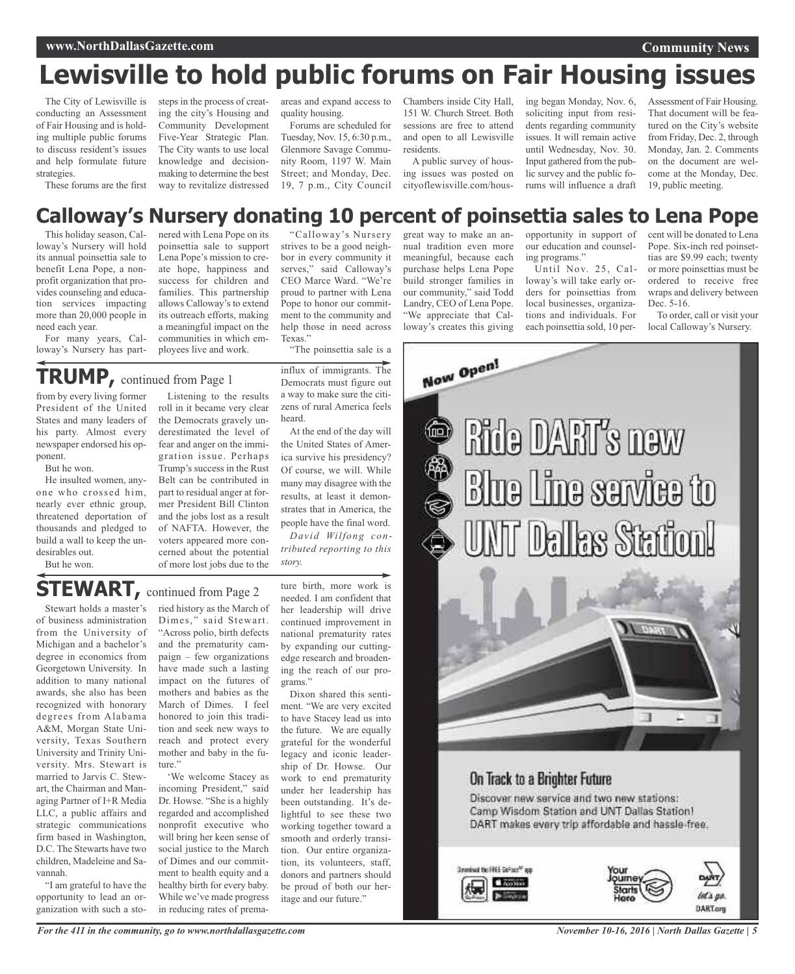## **Lewisville to hold public forums on Fair Housing issues**

The City of Lewisville is conducting an Assessment of Fair Housing and is holding multiple public forums to discuss resident's issues and help formulate future strategies.

These forums are the first

areas and expand access to quality housing.

Forums are scheduled for Tuesday, Nov. 15, 6:30 p.m., Glenmore Savage Community Room, 1197 W. Main Street; and Monday, Dec. 19, 7 p.m., City Council

strives to be a good neighbor in every community it serves," said Calloway's CEO Marce Ward. "We're proud to partner with Lena Pope to honor our commitment to the community and help those in need across Chambers inside City Hall, 151 W. Church Street. Both sessions are free to attend and open to all Lewisville residents.

A public survey of housing issues was posted on cityoflewisville.com/housing began Monday, Nov. 6, soliciting input from residents regarding community issues. It will remain active until Wednesday, Nov. 30. Input gathered from the public survey and the public forums will influence a draft

Assessment of Fair Housing. That document will be featured on the City's website from Friday, Dec. 2, through Monday, Jan. 2. Comments on the document are welcome at the Monday, Dec. 19, public meeting.

## "Calloway's Nursery **Calloway's Nursery donating 10 percent of poinsettia sales to Lena Pope**

This holiday season, Calloway's Nursery will hold its annual poinsettia sale to benefit Lena Pope, a nonprofit organization that provides counseling and education services impacting more than 20,000 people in need each year.

For many years, Calloway's Nursery has part-

nered with Lena Pope on its poinsettia sale to support Lena Pope's mission to create hope, happiness and success for children and families. This partnership allows Calloway's to extend its outreach efforts, making a meaningful impact on the communities in which employees live and work.

Listening to the results

steps in the process of creating the city's Housing and Community Development Five-Year Strategic Plan. The City wants to use local knowledge and decisionmaking to determine the best way to revitalize distressed

## **TRUMP,** continued from Page <sup>1</sup>

from by every living former President of the United States and many leaders of his party. Almost every newspaper endorsed his opponent.

But he won.

He insulted women, anyone who crossed him, nearly ever ethnic group, threatened deportation of thousands and pledged to build a wall to keep the undesirables out.

But he won.

roll in it became very clear the Democrats gravely underestimated the level of fear and anger on the immigration issue. Perhaps Trump's success in the Rust Belt can be contributed in part to residual anger at former President Bill Clinton and the jobs lost as a result of NAFTA. However, the voters appeared more concerned about the potential of more lost jobs due to the Texas." "The poinsettia sale is a influx of immigrants. The Democrats must figure out a way to make sure the citizens of rural America feels

heard. At the end of the day will the United States of America survive his presidency? Of course, we will. While many may disagree with the results, at least it demonstrates that in America, the people have the final word.

*David Wilfong contributed reporting to this story.*

## **STEWART, continued from Page 2**

Stewart holds a master's of business administration from the University of Michigan and a bachelor's degree in economics from Georgetown University. In addition to many national awards, she also has been recognized with honorary degrees from Alabama A&M, Morgan State University, Texas Southern University and Trinity University. Mrs. Stewart is married to Jarvis C. Stewart, the Chairman and Managing Partner of I+R Media LLC, a public affairs and strategic communications firm based in Washington, D.C. The Stewarts have two children, Madeleine and Savannah.

"I am grateful to have the opportunity to lead an organization with such a sto-

ried history as the March of Dimes," said Stewart. "Across polio, birth defects and the prematurity campaign – few organizations have made such a lasting impact on the futures of mothers and babies as the March of Dimes. I feel honored to join this tradition and seek new ways to reach and protect every mother and baby in the future."

'We welcome Stacey as incoming President," said Dr. Howse. "She is a highly regarded and accomplished nonprofit executive who will bring her keen sense of social justice to the March of Dimes and our commitment to health equity and a healthy birth for every baby. While we've made progress in reducing rates of prema-

ture birth, more work is needed. I am confident that her leadership will drive continued improvement in national prematurity rates by expanding our cuttingedge research and broadening the reach of our programs."

Dixon shared this sentiment. "We are very excited to have Stacey lead us into the future. We are equally grateful for the wonderful legacy and iconic leadership of Dr. Howse. Our work to end prematurity under her leadership has been outstanding. It's delightful to see these two working together toward a smooth and orderly transition. Our entire organization, its volunteers, staff, donors and partners should be proud of both our heritage and our future."

great way to make an annual tradition even more meaningful, because each purchase helps Lena Pope build stronger families in our community," said Todd Landry, CEO of Lena Pope. "We appreciate that Calloway's creates this giving

opportunity in support of our education and counseling programs."

Until Nov. 25, Calloway's will take early orders for poinsettias from local businesses, organizations and individuals. For each poinsettia sold, 10 percent will be donated to Lena Pope. Six-inch red poinsettias are \$9.99 each; twenty or more poinsettias must be ordered to receive free wraps and delivery between Dec. 5-16.

To order, call or visit your local Calloway's Nursery.



## On Track to a Brighter Future

Discover new service and two new stations: Camp Wisdom Station and UNT Dallas Station! DART makes every trip affordable and hassle-free.



*November 10-16, 2016 | North Dallas Gazette | 5*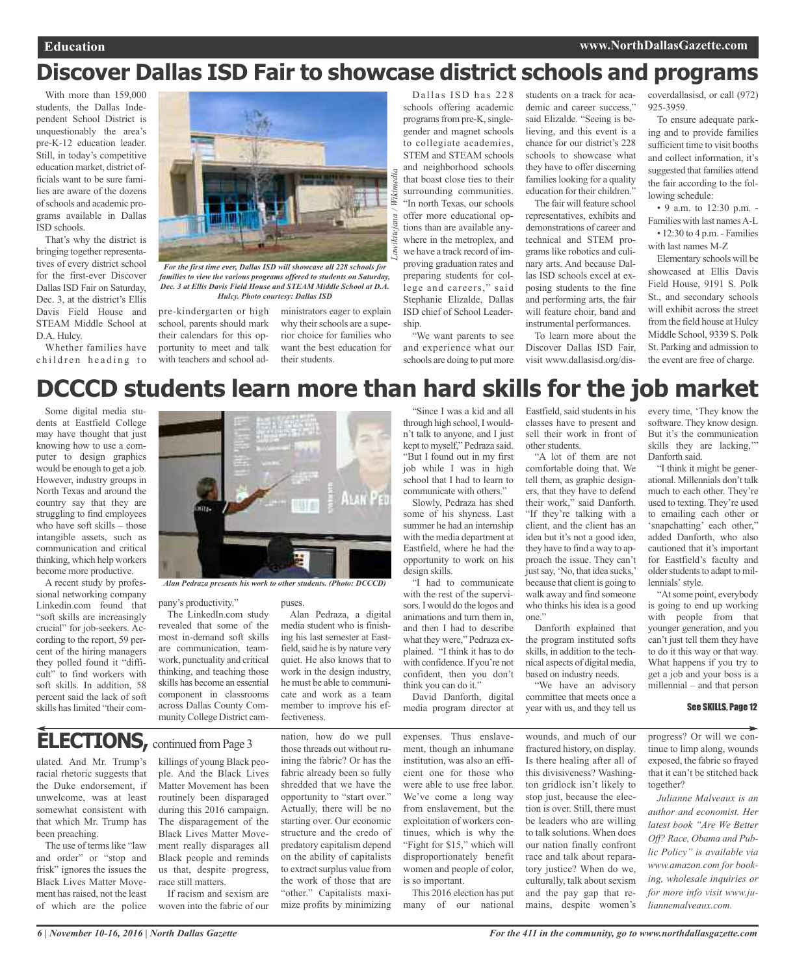## **Discover Dallas ISD Fair to showcase district schools and programs**

*Lawikitejana / Wikimedia*

ejana

Wikimedia

With more than 159,000 students, the Dallas Independent School District is unquestionably the area's pre-K-12 education leader. Still, in today's competitive education market, district officials want to be sure families are aware of the dozens ofschools and academic programs available in Dallas ISD schools.

That's why the district is bringing together representatives of every district school for the first-ever Discover Dallas ISD Fair on Saturday, Dec. 3, at the district's Ellis Davis Field House and STEAM Middle School at D.A. Hulcy.

Whether families have children heading to



*families to view the various programs offered to students on Saturday, Dec. 3 at Ellis Davis Field House and STEAM Middle School at D.A. Hulcy. Photo courtesy: Dallas ISD*

pre-kindergarten or high school, parents should mark their calendars for this opportunity to meet and talk with teachers and school ad-

ministrators eager to explain why their schools are a superior choice for families who want the best education for their students.

Dallas ISD has 228 schools offering academic programs from pre-K, singlegender and magnet schools to collegiate academies, STEM and STEAM schools and neighborhood schools that boast close ties to their surrounding communities. "In north Texas, our schools offer more educational options than are available anywhere in the metroplex, and we have a track record of improving graduation rates and preparing students for college and careers," said Stephanie Elizalde, Dallas ISD chief of School Leadership.

"We want parents to see and experience what our schools are doing to put more

through high school,I wouldn't talk to anyone, and I just kept to myself," Pedraza said. "But I found out in my first job while I was in high school that I had to learn to communicate with others." Slowly, Pedraza has shed some of his shyness. Last summer he had an internship with the media department at Eastfield, where he had the opportunity to work on his

"I had to communicate with the rest of the supervisors.I would do the logos and animations and turn them in, and then I had to describe what they were," Pedraza explained. "I think it has to do with confidence.If you're not confident, then you don't

David Danforth, digital media program director at

design skills.

think you can do it."

students on a track for academic and career success," said Elizalde. "Seeing is believing, and this event is a chance for our district's 228 schools to showcase what they have to offer discerning families looking for a quality education for their children."

The fair will feature school representatives, exhibits and demonstrations of career and technical and STEM programs like robotics and culinary arts. And because Dallas ISD schools excel at exposing students to the fine and performing arts, the fair will feature choir, band and instrumental performances.

To learn more about the Discover Dallas ISD Fair, visit www.dallasisd.org/discoverdallasisd, or call (972) 925-3959.

To ensure adequate parking and to provide families sufficient time to visit booths and collect information, it's suggested that families attend the fair according to the following schedule:

• 9 a.m. to 12:30 p.m. - Families with last namesA-L • 12:30 to 4 p.m. - Families

with last names M-Z

Elementary schools will be showcased at Ellis Davis Field House, 9191 S. Polk St., and secondary schools will exhibit across the street from the field house at Hulcy Middle School, 9339 S. Polk St. Parking and admission to the event are free of charge.

## **DCCCD students learn more than hard skills for the job market** "Since I was a kid and all

Some digital media students at Eastfield College may have thought that just knowing how to use a computer to design graphics would be enough to get a job. However, industry groups in North Texas and around the country say that they are struggling to find employees who have soft skills – those intangible assets, such as communication and critical thinking, which help workers become more productive.

A recent study by professional networking company Linkedin.com found that "soft skills are increasingly crucial" for job-seekers. According to the report, 59 percent of the hiring managers they polled found it "difficult" to find workers with soft skills. In addition, 58 percent said the lack of soft skills has limited "their com-



pany's productivity."

The LinkedIn.com study revealed that some of the most in-demand soft skills are communication, teamwork, punctuality and critical thinking, and teaching those skills has become an essential component in classrooms across Dallas County Community College District cam-

puses.

Alan Pedraza, a digital media student who is finishing his last semester at Eastfield, said he is by nature very quiet. He also knows that to work in the design industry, he must be able to communicate and work as a team member to improve his effectiveness.

**ELECTIONS**, continued from Page 3

ulated. And Mr. Trump's racial rhetoric suggests that the Duke endorsement, if unwelcome, was at least somewhat consistent with that which Mr. Trump has been preaching.

The use of terms like "law and order" or "stop and frisk" ignores the issues the Black Lives Matter Movement hasraised, not the least of which are the police killings of young Black people. And the Black Lives Matter Movement has been routinely been disparaged during this 2016 campaign. The disparagement of the Black Lives Matter Movement really disparages all Black people and reminds us that, despite progress, race still matters. If racism and sexism are

woven into the fabric of our

nation, how do we pull those threads out without ruining the fabric? Or has the fabric already been so fully shredded that we have the opportunity to "start over." Actually, there will be no starting over. Our economic structure and the credo of predatory capitalism depend on the ability of capitalists to extract surplus value from the work of those that are "other." Capitalists maximize profits by minimizing

expenses. Thus enslavement, though an inhumane institution, was also an efficient one for those who were able to use free labor. We've come a long way from enslavement, but the exploitation of workers continues, which is why the "Fight for \$15," which will disproportionately benefit women and people of color, is so important.

This 2016 election has put many of our national Eastfield, said students in his classes have to present and sell their work in front of other students.

"A lot of them are not comfortable doing that. We tell them, as graphic designers, that they have to defend their work," said Danforth. "If they're talking with a client, and the client has an idea but it's not a good idea, they have to find a way to approach the issue. They can't just say, 'No, that idea sucks,' because that client is going to walk away and find someone who thinks his idea is a good one."

Danforth explained that the program instituted softs skills, in addition to the technical aspects of digital media, based on industry needs.

"We have an advisory committee that meets once a year with us, and they tell us

wounds, and much of our fractured history, on display. Is there healing after all of this divisiveness? Washington gridlock isn't likely to stop just, because the election is over. Still, there must be leaders who are willing to talk solutions. When does our nation finally confront race and talk about reparatory justice? When do we, culturally, talk about sexism and the pay gap that remains, despite women's

every time, 'They know the software. They know design. But it's the communication skills they are lacking,'" Danforth said.

"I think it might be generational. Millennials don't talk much to each other. They're used to texting. They're used to emailing each other or 'snapchatting' each other," added Danforth, who also cautioned that it's important for Eastfield's faculty and older students to adapt to millennials' style.

"Atsome point, everybody is going to end up working with people from that younger generation, and you can't just tell them they have to do it this way or that way. What happens if you try to get a job and your boss is a millennial – and that person

#### See SKILLS, Page 12

progress? Or will we continue to limp along, wounds exposed, the fabric so frayed that it can't be stitched back together?

*Julianne Malveaux is an author and economist. Her latest book "Are We Better Off? Race, Obama and Public Policy" is available via www.amazon.com for booking, wholesale inquiries or for more info visit www.juliannemalveaux.com.*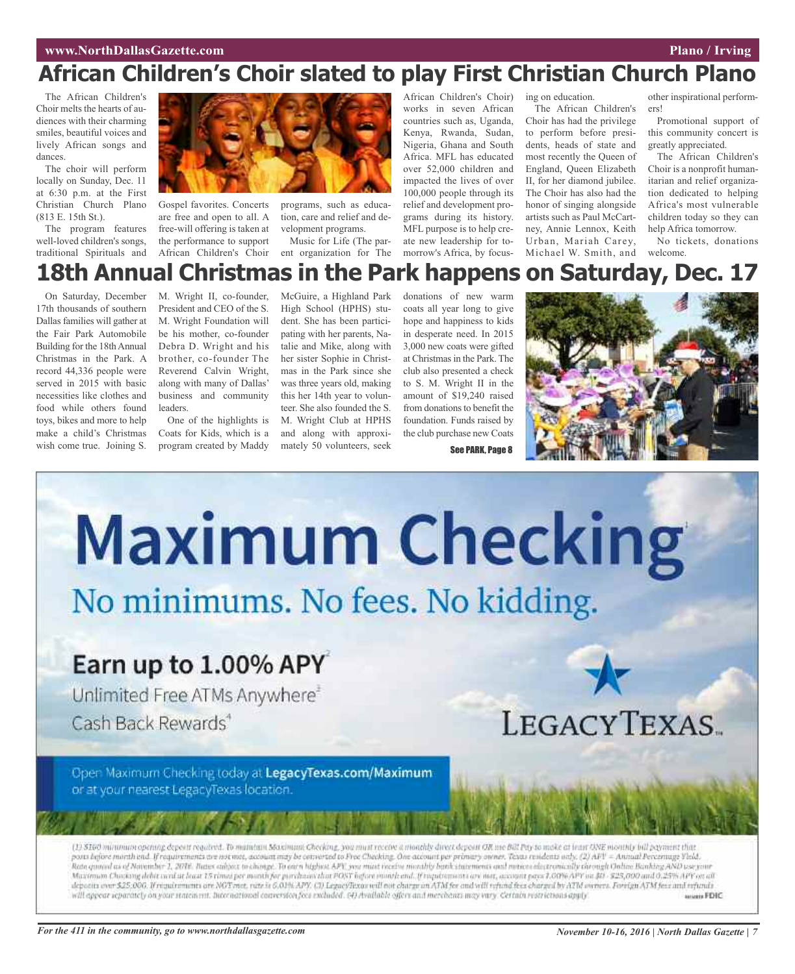## **African Children's Choir slated to play First Christian Church Plano**

The African Children's Choir melts the hearts of audiences with their charming smiles, beautiful voices and lively African songs and dances.

The choir will perform locally on Sunday, Dec. 11 at 6:30 p.m. at the First Christian Church Plano (813 E. 15th St.).

The program features well-loved children's songs, traditional Spirituals and



Gospel favorites. Concerts are free and open to all. A free-will offering is taken at the performance to support African Children's Choir

programs, such as education, care and relief and development programs.

Music for Life (The parent organization for The

African Children's Choir) works in seven African countries such as, Uganda, Kenya, Rwanda, Sudan, Nigeria, Ghana and South Africa. MFL has educated over 52,000 children and impacted the lives of over 100,000 people through its relief and development programs during its history. MFL purpose is to help create new leadership for tomorrow's Africa, by focusing on education. The African Children's Choir has had the privilege to perform before presidents, heads of state and most recently the Queen of England, Queen Elizabeth II, for her diamond jubilee. The Choir has also had the honor of singing alongside artists such as Paul McCartney, Annie Lennox, Keith Urban, Mariah Carey, Michael W. Smith, and

other inspirational performers!

Promotional support of this community concert is greatly appreciated.

The African Children's Choir is a nonprofit humanitarian and relief organization dedicated to helping Africa's most vulnerable children today so they can help Africa tomorrow.

No tickets, donations welcome.

## **18th Annual Christmas in the Park happens on Saturday, Dec. 17**

On Saturday, December 17th thousands of southern Dallas families will gather at the Fair Park Automobile Building for the 18thAnnual Christmas in the Park. A record 44,336 people were served in 2015 with basic necessities like clothes and food while others found toys, bikes and more to help make a child's Christmas wish come true. Joining S.

M. Wright II, co-founder, President and CEO of the S. M. Wright Foundation will be his mother, co-founder Debra D. Wright and his brother, co-founder The Reverend Calvin Wright, along with many of Dallas' business and community leaders.

One of the highlights is Coats for Kids, which is a program created by Maddy

McGuire, a Highland Park High School (HPHS) student. She has been participating with her parents, Natalie and Mike, along with her sister Sophie in Christmas in the Park since she was three years old, making this her 14th year to volunteer. She also founded the S. M. Wright Club at HPHS and along with approximately 50 volunteers, seek

donations of new warm coats all year long to give hope and happiness to kids in desperate need. In 2015 3,000 new coats were gifted at Christmas in the Park. The club also presented a check to S. M. Wright II in the amount of \$19,240 raised from donations to benefit the foundation. Funds raised by the club purchase new Coats

See PARK, Page 8





## Earn up to 1.00% APY

Unlimited Free ATMs Anywhere<sup>3</sup>

Cash Back Rewards<sup>4</sup>

LEGACYTEXAS.

Open Maximum Checking today at LegacyTexas.com/Maximum or at your nearest LegacyTexas location.

(1) \$100 minimum opening deposit required. To maintain Maximum Checking, you must receive a monthly direct deposit OR me Bill Pay to make at least ONE monthly bill payment that posts before morth and. If requirements are not mot, account may be converted to Free Checking. One account per primary owner, Texas residents only. (2) AFI' = Annual Percentage VleM. Rate quand as of November 1, 2016. Bates subject to change. To earn highest APE you must receive monthly bank statements and notices electromically through Online Banking AND use your Mazimum Chosting debit isrul at bast 15 rimed per month for porchased dat POST hefore month and, If requirements are not, account pays 1,00% APY on \$0 - \$25,000 and 0,25% APY on all deposits over \$25,000. If requirements are NOT met, rate is 6,01% APY. (3) LegacyTexas will not charge an ATM for and will refund fees charged by ATM owners. Foreign ATM fees and refunds will appear reparately on your tratement. International conversion foca excluded. (4) Available offers and merchants may vary. Certain restrictions apply. www.FDIC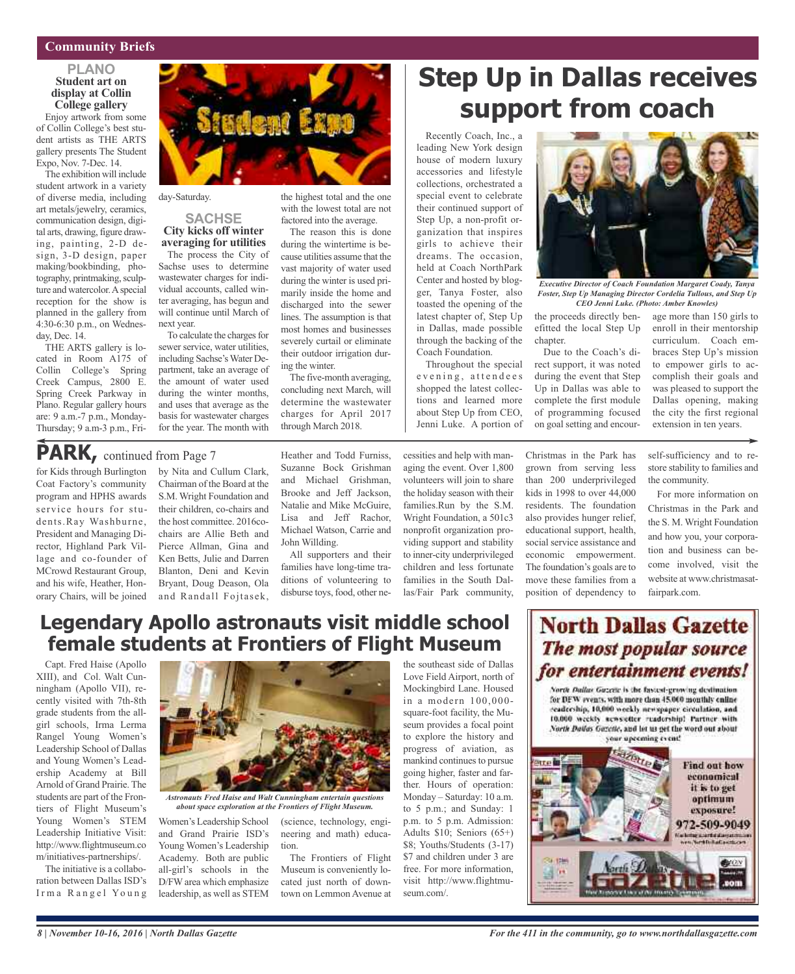## **Community Briefs**

#### **PLANO Student art on display at Collin College gallery**

Enjoy artwork from some of Collin College's best student artists as THE ARTS gallery presents The Student Expo, Nov. 7-Dec. 14.

The exhibition will include student artwork in a variety of diverse media, including art metals/jewelry, ceramics, communication design, digital arts, drawing, figure drawing, painting, 2-D design, 3-D design, paper making/bookbinding, photography, printmaking, sculpture and watercolor. A special reception for the show is planned in the gallery from 4:30-6:30 p.m., on Wednesday, Dec. 14.

THE ARTS gallery is located in Room A175 of Collin College's Spring Creek Campus, 2800 E. Spring Creek Parkway in Plano. Regular gallery hours are: 9 a.m.-7 p.m., Monday-Thursday; 9 a.m-3 p.m., Fri-



day-Saturday.

## **SACHSE City kicks off winter**

**averaging for utilities** The process the City of Sachse uses to determine wastewater charges for individual accounts, called winter averaging, has begun and will continue until March of next year.

To calculate the charges for sewer service, water utilities, including Sachse's Water Department, take an average of the amount of water used during the winter months, and uses that average as the basis for wastewater charges for the year. The month with

the highest total and the one with the lowest total are not factored into the average.

The reason this is done during the wintertime is because utilities assume that the vast majority of water used during the winter is used primarily inside the home and discharged into the sewer lines. The assumption is that most homes and businesses severely curtail or eliminate their outdoor irrigation during the winter.

The five-month averaging, concluding next March, will determine the wastewater charges for April 2017 through March 2018.

## **Step Up in Dallas receives support from coach**

Recently Coach, Inc., a leading New York design house of modern luxury accessories and lifestyle collections, orchestrated a special event to celebrate their continued support of Step Up, a non-profit organization that inspires girls to achieve their dreams. The occasion, held at Coach NorthPark Center and hosted by blogger, Tanya Foster, also toasted the opening of the latest chapter of, Step Up in Dallas, made possible through the backing of the Coach Foundation.

Throughout the special evening, attendees shopped the latest collections and learned more about Step Up from CEO, Jenni Luke. A portion of



*Executive Director of Coach Foundation Margaret Coady, Tanya Foster, Step Up Managing Director Cordelia Tullous, and Step Up CEO Jenni Luke. (Photo: Amber Knowles)*

the proceeds directly benefitted the local Step Up chapter.

Due to the Coach's direct support, it was noted during the event that Step Up in Dallas was able to complete the first module of programming focused on goal setting and encour-

Christmas in the Park has the community.

the city the first regional extension in ten years. self-sufficiency and to restore stability to families and

age more than 150 girls to enroll in their mentorship curriculum. Coach embraces Step Up's mission to empower girls to accomplish their goals and was pleased to support the Dallas opening, making

for Kids through Burlington PARK, continued from Page 7

Coat Factory's community program and HPHS awards service hours for students.Ray Washburne, President and Managing Director, Highland Park Village and co-founder of MCrowd Restaurant Group, and his wife, Heather, Honorary Chairs, will be joined

by Nita and Cullum Clark, Chairman of the Board at the S.M. Wright Foundation and their children, co-chairs and the host committee. 2016cochairs are Allie Beth and Pierce Allman, Gina and Ken Betts, Julie and Darren Blanton, Deni and Kevin Bryant, Doug Deason, Ola and Randall Fojtasek, Heather and Todd Furniss, Suzanne Bock Grishman and Michael Grishman, Brooke and Jeff Jackson, Natalie and Mike McGuire, Lisa and Jeff Rachor, Michael Watson, Carrie and John Willding.

All supporters and their families have long-time traditions of volunteering to disburse toys, food, other ne-

(science, technology, engineering and math) educa-

The Frontiers of Flight Museum is conveniently located just north of downtown on Lemmon Avenue at

cessities and help with managing the event. Over 1,800 volunteers will join to share the holiday season with their families.Run by the S.M. Wright Foundation, a 501c3 nonprofit organization providing support and stability to inner-city underprivileged children and less fortunate families in the South Dallas/Fair Park community,

grown from serving less than 200 underprivileged kids in 1998 to over 44,000 residents. The foundation also provides hunger relief, educational support, health, social service assistance and economic empowerment. The foundation's goals are to move these families from a position of dependency to

For more information on Christmas in the Park and the S. M. Wright Foundation and how you, your corporation and business can become involved, visit the

website at www.christmasat-

fairpark.com.

## **Legendary Apollo astronauts visit middle school female students at Frontiers of Flight Museum**

Capt. Fred Haise (Apollo XIII), and Col. Walt Cunningham (Apollo VII), recently visited with 7th-8th grade students from the allgirl schools, Irma Lerma Rangel Young Women's Leadership School of Dallas and Young Women's Leadership Academy at Bill Arnold of Grand Prairie. The students are part of the Frontiers of Flight Museum's Young Women's STEM Leadership Initiative Visit: http://www.flightmuseum.co m/initiatives-partnerships/.

The initiative is a collaboration between Dallas ISD's Irma Rangel Young



*Astronauts Fred Haise and Walt Cunningham entertain questions about space exploration at the Frontiers of Flight Museum.*

tion.

Women's Leadership School and Grand Prairie ISD's Young Women's Leadership Academy. Both are public all-girl's schools in the D/FW area which emphasize leadership, as well as STEM

the southeast side of Dallas Love Field Airport, north of Mockingbird Lane. Housed in a modern 100,000 square-foot facility, the Museum provides a focal point to explore the history and progress of aviation, as mankind continues to pursue going higher, faster and farther. Hours of operation: Monday – Saturday: 10 a.m. to 5 p.m.; and Sunday: 1 p.m. to 5 p.m. Admission: Adults \$10; Seniors (65+) \$8; Youths/Students (3-17) \$7 and children under 3 are free. For more information, visit http://www.flightmuseum.com/.

## **North Dallas Gazette** The most popular source for entertainment events!

North Dallas Guzette is the fastest-growing destination. for DFW events, with more than 45.000 monthly enline readership, 10,000 weekly newspaper circulation, and 10.000 weekly sewsetter readership! Partner with North Dailas Gazette, and let us get the word out about your upcoming event!

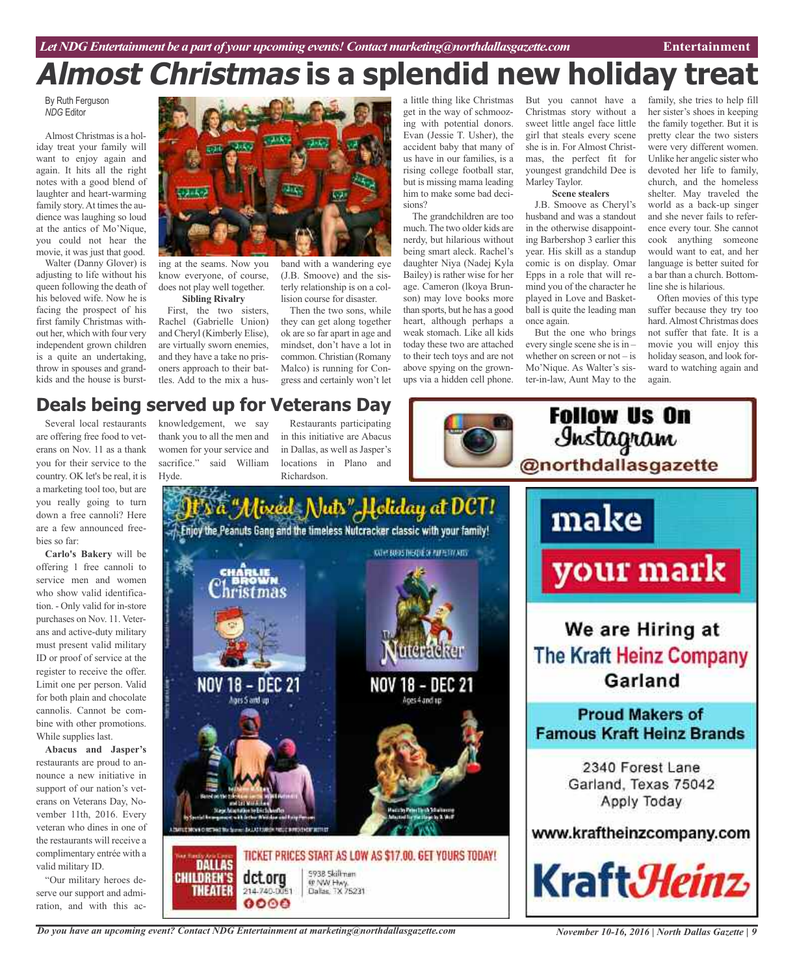## **Almost Christmas is a splendid new holiday treat**

By Ruth Ferguson *NDG* Editor

Almost Christmas is a holiday treat your family will want to enjoy again and again. It hits all the right notes with a good blend of laughter and heart-warming family story. At times the audience was laughing so loud at the antics of Mo'Nique, you could not hear the movie, it was just that good.

Walter (Danny Glover) is adjusting to life without his queen following the death of his beloved wife. Now he is facing the prospect of his first family Christmas without her, which with four very independent grown children is a quite an undertaking, throw in spouses and grandkids and the house is burst-



ing at the seams. Now you know everyone, of course, does not play well together. **Sibling Rivalry**

First, the two sisters, Rachel (Gabrielle Union) and Cheryl (Kimberly Elise), are virtually sworn enemies, and they have a take no prisoners approach to their battles. Add to the mix a husband with a wandering eye (J.B. Smoove) and the sisterly relationship is on a collision course for disaster.

Then the two sons, while they can get along together ok are so far apart in age and mindset, don't have a lot in common. Christian (Romany Malco) is running for Congress and certainly won't let a little thing like Christmas get in the way of schmoozing with potential donors. Evan (Jessie T. Usher), the accident baby that many of us have in our families, is a rising college football star, but is missing mama leading him to make some bad decisions?

The grandchildren are too much. The two older kids are nerdy, but hilarious without being smart aleck. Rachel's daughter Niya (Nadej Kyla Bailey) is rather wise for her age. Cameron (lkoya Brunson) may love books more than sports, but he has a good heart, although perhaps a weak stomach. Like all kids today these two are attached to their tech toys and are not above spying on the grownups via a hidden cell phone.

But you cannot have a Christmas story without a sweet little angel face little girl that steals every scene she is in. For Almost Christmas, the perfect fit for youngest grandchild Dee is Marley Taylor. **Scene stealers**

J.B. Smoove as Cheryl's husband and was a standout in the otherwise disappointing Barbershop 3 earlier this year. His skill as a standup comic is on display. Omar Epps in a role that will remind you of the character he played in Love and Basketball is quite the leading man once again.

But the one who brings every single scene she is in – whether on screen or not – is Mo'Nique. As Walter's sister-in-law, Aunt May to the

**Follow Us On** 

family, she tries to help fill her sister's shoes in keeping the family together. But it is pretty clear the two sisters were very different women. Unlike her angelic sister who devoted her life to family, church, and the homeless shelter. May traveled the world as a back-up singer and she never fails to reference every tour. She cannot cook anything someone would want to eat, and her language is better suited for a bar than a church. Bottomline she is hilarious.

Often movies of this type suffer because they try too hard.Almost Christmas does not suffer that fate. It is a movie you will enjoy this holiday season, and look forward to watching again and again.

## **Deals being served up for Veterans Day**

Several local restaurants are offering free food to veterans on Nov. 11 as a thank you for their service to the country. OK let's be real, it is a marketing tool too, but are you really going to turn down a free cannoli? Here are a few announced freebies so far:

**Carlo's Bakery** will be offering 1 free cannoli to service men and women who show valid identification. - Only valid for in-store purchases on Nov. 11. Veterans and active-duty military must present valid military ID or proof of service at the register to receive the offer. Limit one per person. Valid for both plain and chocolate cannolis. Cannot be combine with other promotions. While supplies last.

**Abacus and Jasper's** restaurants are proud to announce a new initiative in support of our nation's veterans on Veterans Day, November 11th, 2016. Every veteran who dines in one of the restaurants will receive a complimentary entrée with a valid military ID.

"Our military heroes deserve our support and admiration, and with this ac-

knowledgement, we say thank you to all the men and women for your service and sacrifice." said William Hyde.

*Do you have an upcoming event? Contact NDG Entertainment at marketing@northdallasgazette.com*

Restaurants participating in this initiative are Abacus in Dallas, as well as Jasper's locations in Plano and Richardson.





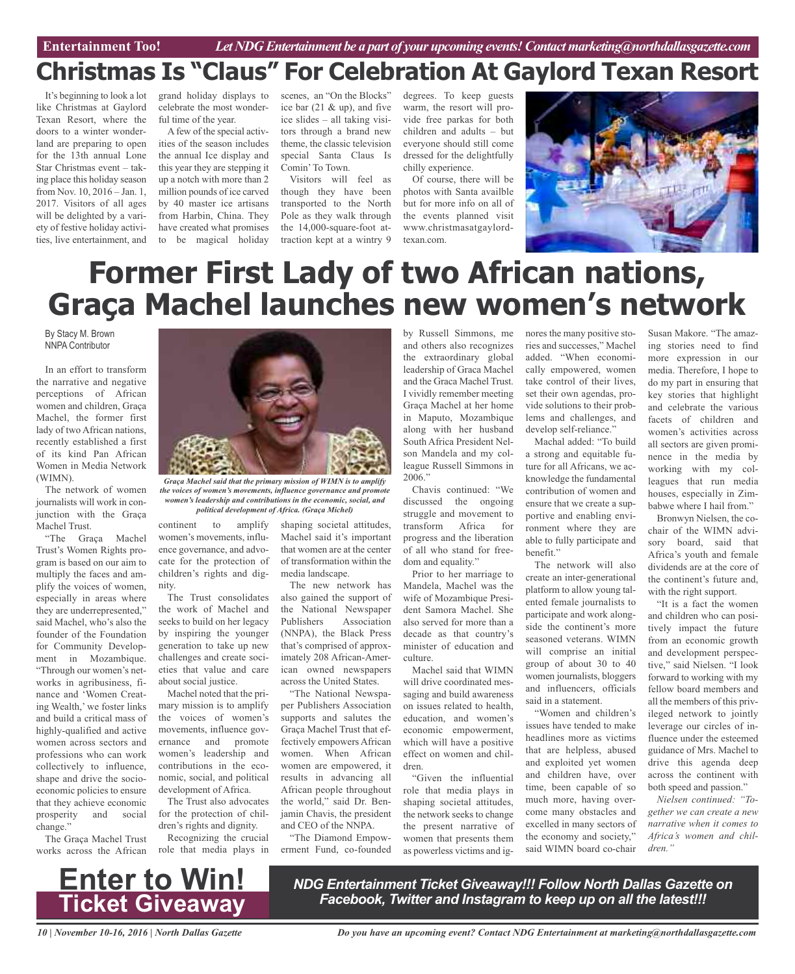**Car Review Entertainment Too!** *Let NDG Entertainment be a part of your upcoming events!Contactmarketing@northdallasgazette.com*

## **Christmas Is "Claus" For Celebration At Gaylord Texan Resort**

It's beginning to look a lot like Christmas at Gaylord Texan Resort, where the doors to a winter wonderland are preparing to open for the 13th annual Lone Star Christmas event – taking place this holiday season from Nov. 10, 2016 – Jan. 1, 2017. Visitors of all ages will be delighted by a variety of festive holiday activities, live entertainment, and

grand holiday displays to celebrate the most wonderful time of the year.

Afew of the special activities of the season includes the annual Ice display and this year they are stepping it up a notch with more than 2 million pounds of ice carved by 40 master ice artisans from Harbin, China. They have created what promises to be magical holiday

scenes, an "On the Blocks" ice bar (21 & up), and five ice slides – all taking visitors through a brand new theme, the classic television special Santa Claus Is Comin'To Town.

Visitors will feel as though they have been transported to the North Pole as they walk through the 14,000-square-foot attraction kept at a wintry 9

degrees. To keep guests warm, the resort will provide free parkas for both children and adults – but everyone should still come dressed for the delightfully chilly experience.

Of course, there will be photos with Santa availble but for more info on all of the events planned visit www.christmasatgaylordtexan.com.



## **Former First Lady of two African nations, Graça Machel launches new women's network**

By Stacy M. Brown NNPA Contributor

In an effort to transform the narrative and negative perceptions of African women and children, Graça Machel, the former first lady of two African nations, recently established a first of its kind Pan African Women in Media Network (WIMN).

The network of women journalists will work in conjunction with the Graça Machel Trust.

"The Graça Machel Trust's Women Rights program is based on our aim to multiply the faces and amplify the voices of women, especially in areas where they are underrepresented," said Machel, who's also the founder of the Foundation for Community Development in Mozambique. "Through our women's networks in agribusiness, finance and 'Women Creating Wealth,' we foster links and build a critical mass of highly-qualified and active women across sectors and professions who can work collectively to influence, shape and drive the socioeconomic policies to ensure that they achieve economic prosperity and social change."

The Graça Machel Trust works across the African



*the voices of women's movements, influence governance and promote women's leadership and contributions in the economic, social, and political development of Africa. (Graça Michel)*

continent to amplify women's movements, influence governance, and advocate for the protection of children's rights and dignity.

The Trust consolidates the work of Machel and seeks to build on her legacy by inspiring the younger generation to take up new challenges and create societies that value and care about social justice.

Machel noted that the primary mission is to amplify the voices of women's movements, influence governance and promote women's leadership and contributions in the economic, social, and political development of Africa.

The Trust also advocates for the protection of children's rights and dignity.

Recognizing the crucial role that media plays in

shaping societal attitudes, Machel said it's important that women are at the center of transformation within the media landscape.

The new network has also gained the support of the National Newspaper Publishers Association (NNPA), the Black Press that's comprised of approximately 208 African-American owned newspapers across the United States.

"The National Newspaper Publishers Association supports and salutes the Graça Machel Trust that effectively empowers African women. When African women are empowered, it results in advancing all African people throughout the world," said Dr. Benjamin Chavis, the president and CEO of the NNPA.

"The Diamond Empowerment Fund, co-founded by Russell Simmons, me and others also recognizes the extraordinary global leadership of Graca Machel and the Graca Machel Trust. I vividly remember meeting Graça Machel at her home in Maputo, Mozambique along with her husband South Africa President Nelson Mandela and my colleague Russell Simmons in 2006."

Chavis continued: "We discussed the ongoing struggle and movement to transform Africa for progress and the liberation of all who stand for freedom and equality."

Prior to her marriage to Mandela, Machel was the wife of Mozambique President Samora Machel. She also served for more than a decade as that country's minister of education and culture.

Machel said that WIMN will drive coordinated messaging and build awareness on issues related to health, education, and women's economic empowerment, which will have a positive effect on women and children.

"Given the influential role that media plays in shaping societal attitudes, the network seeks to change the present narrative of women that presents them as powerless victims and ignores the many positive stories and successes," Machel added. "When economically empowered, women take control of their lives, set their own agendas, provide solutions to their problems and challenges, and develop self-reliance."

Machal added: "To build a strong and equitable future for all Africans, we acknowledge the fundamental contribution of women and ensure that we create a supportive and enabling environment where they are able to fully participate and benefit."

The network will also create an inter-generational platform to allow young talented female journalists to participate and work alongside the continent's more seasoned veterans. WIMN will comprise an initial group of about 30 to 40 women journalists, bloggers and influencers, officials said in a statement.

"Women and children's issues have tended to make headlines more as victims that are helpless, abused and exploited yet women and children have, over time, been capable of so much more, having overcome many obstacles and excelled in many sectors of the economy and society," said WIMN board co-chair

Susan Makore. "The amazing stories need to find more expression in our media. Therefore, I hope to do my part in ensuring that key stories that highlight and celebrate the various facets of children and women's activities across all sectors are given prominence in the media by working with my colleagues that run media houses, especially in Zimbabwe where I hail from."

Bronwyn Nielsen, the cochair of the WIMN advisory board, said that Africa's youth and female dividends are at the core of the continent's future and, with the right support.

"It is a fact the women and children who can positively impact the future from an economic growth and development perspective," said Nielsen. "I look forward to working with my fellow board members and all the members of this privileged network to jointly leverage our circles of influence under the esteemed guidance of Mrs. Machel to drive this agenda deep across the continent with both speed and passion."

*Nielsen continued: "Together we can create a new narrative when it comes to Africa's women and children."*



*NDG Entertainment Ticket Giveaway!!! Follow North Dallas Gazette on Facebook, Twitter and Instagram to keep up on all the latest!!!*

*10 | November 10-16, 2016 | North Dallas Gazette*

*Do you have an upcoming event? Contact NDG Entertainment at marketing@northdallasgazette.com*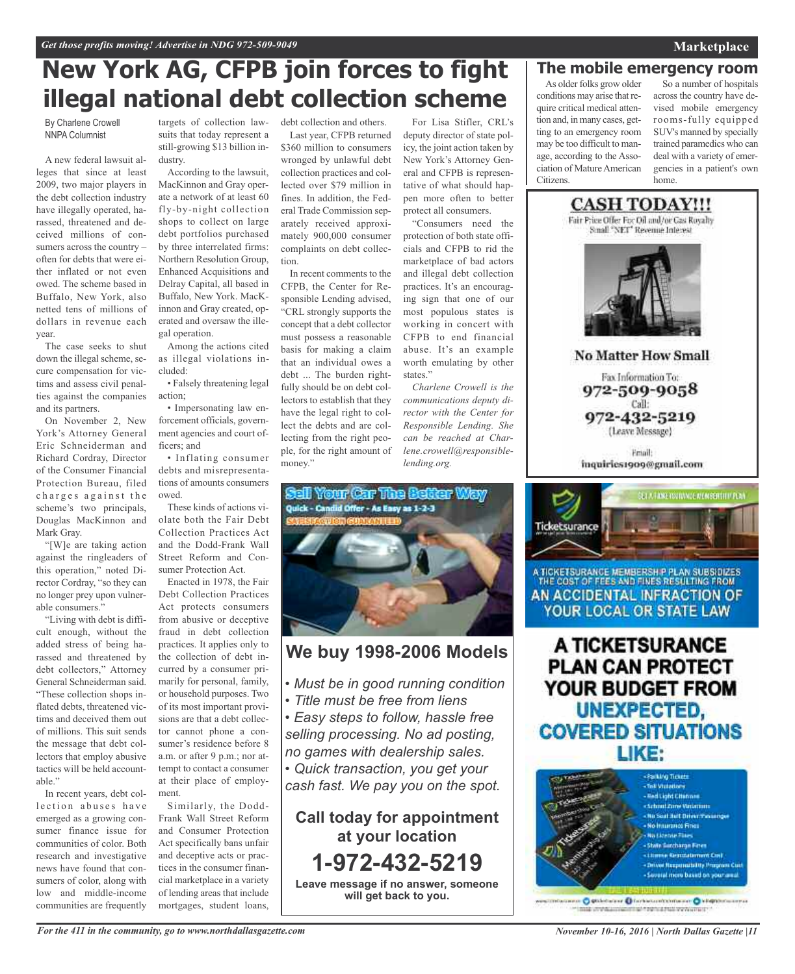## **New York AG, CFPB join forces to fight illegal national debt collection scheme**

By Charlene Crowell NNPA Columnist

A new federal lawsuit alleges that since at least 2009, two major players in the debt collection industry have illegally operated, harassed, threatened and deceived millions of consumers across the country – often for debts that were either inflated or not even owed. The scheme based in Buffalo, New York, also netted tens of millions of dollars in revenue each year.

The case seeks to shut down the illegal scheme, secure compensation for victims and assess civil penalties against the companies and its partners.

On November 2, New York's Attorney General Eric Schneiderman and Richard Cordray, Director of the Consumer Financial Protection Bureau, filed charges against the scheme's two principals, Douglas MacKinnon and Mark Gray.

"[W]e are taking action against the ringleaders of this operation," noted Director Cordray, "so they can no longer prey upon vulnerable consumers."

"Living with debt is difficult enough, without the added stress of being harassed and threatened by debt collectors," Attorney General Schneiderman said. "These collection shops inflated debts, threatened victims and deceived them out of millions. This suit sends the message that debt collectors that employ abusive tactics will be held accountable<sup>'</sup>

In recent years, debt collection abuses have emerged as a growing consumer finance issue for communities of color. Both research and investigative news have found that consumers of color, along with low and middle-income communities are frequently

targets of collection law-debt collection and others. suits that today represent a still-growing \$13 billion industry.

According to the lawsuit, MacKinnon and Gray operate a network of at least 60 fly-by-night collection shops to collect on large debt portfolios purchased by three interrelated firms: Northern Resolution Group, Enhanced Acquisitions and Delray Capital, all based in Buffalo, New York. MacKinnon and Gray created, operated and oversaw the illegal operation.

Among the actions cited as illegal violations included:

• Falsely threatening legal action;

• Impersonating law enforcement officials, government agencies and court officers; and

• Inflating consumer debts and misrepresentations of amounts consumers owed.

These kinds of actions violate both the Fair Debt Collection Practices Act and the Dodd-Frank Wall Street Reform and Consumer Protection Act.

Enacted in 1978, the Fair Debt Collection Practices Act protects consumers from abusive or deceptive fraud in debt collection practices. It applies only to the collection of debt incurred by a consumer primarily for personal, family, or household purposes. Two of its most important provisions are that a debt collector cannot phone a consumer's residence before 8 a.m. or after 9 p.m.; nor attempt to contact a consumer at their place of employment.

Similarly, the Dodd-Frank Wall Street Reform and Consumer Protection Act specifically bans unfair and deceptive acts or practices in the consumer financial marketplace in a variety of lending areas that include mortgages, student loans,

Last year, CFPB returned \$360 million to consumers wronged by unlawful debt collection practices and collected over \$79 million in fines. In addition, the Federal Trade Commission separately received approximately 900,000 consumer complaints on debt collection.

In recent comments to the CFPB, the Center for Responsible Lending advised, "CRL strongly supports the concept that a debt collector must possess a reasonable basis for making a claim that an individual owes a debt ... The burden rightfully should be on debt collectors to establish that they have the legal right to collect the debts and are collecting from the right people, for the right amount of money."

For Lisa Stifler, CRL's deputy director of state policy, the joint action taken by New York's Attorney General and CFPB is representative of what should happen more often to better protect all consumers.

"Consumers need the protection of both state officials and CFPB to rid the marketplace of bad actors and illegal debt collection practices. It's an encouraging sign that one of our most populous states is working in concert with CFPB to end financial abuse. It's an example worth emulating by other states."

*Charlene Crowell is the communications deputy director with the Center for Responsible Lending. She can be reached at Charlene.crowell@responsiblelending.org.*



## **We buy 1998-2006 Models**

- *• Must be in good running condition*
- *• Title must be free from liens*

*• Easy steps to follow, hassle free selling processing. No ad posting, no games with dealership sales.*

*• Quick transaction, you get your*

*cash fast. We pay you on the spot.*

**Call today for appointment at your location 1-972-432-5219 Leave message if no answer, someone will get back to you.**

## **The mobile emergency room**

As older folks grow older conditions may arise that require critical medical attention and, in many cases, getting to an emergency room may be too difficult to manage, according to the Association of MatureAmerican Citizens.

So a number of hospitals across the country have devised mobile emergency rooms-fully equipped SUV's manned by specially trained paramedics who can deal with a variety of emergencies in a patient's own home.



**No Matter How Small** 

Fax Information To: 972-509-9058 Call: 972-432-5219 (Leave Message)

**Email** inquiries1909@gmail.com



A TICKETSURANCE MEMBERSH P PLAN SUBSIDIZES THE COST OF FEES AND FINES RESULTING FROM AN ACCIDENTAL INFRACTION OF YOUR LOCAL OR STATE LAW

A TICKETSURANCE **PLAN CAN PROTECT** YOUR BUDGET FROM UNEXPECTED, **COVERED SITUATIONS** LIKE:



miscanno O gittebalane Dinebaltominenen O kilopomiaarraa mik invisioneeringi tehsitrat venomet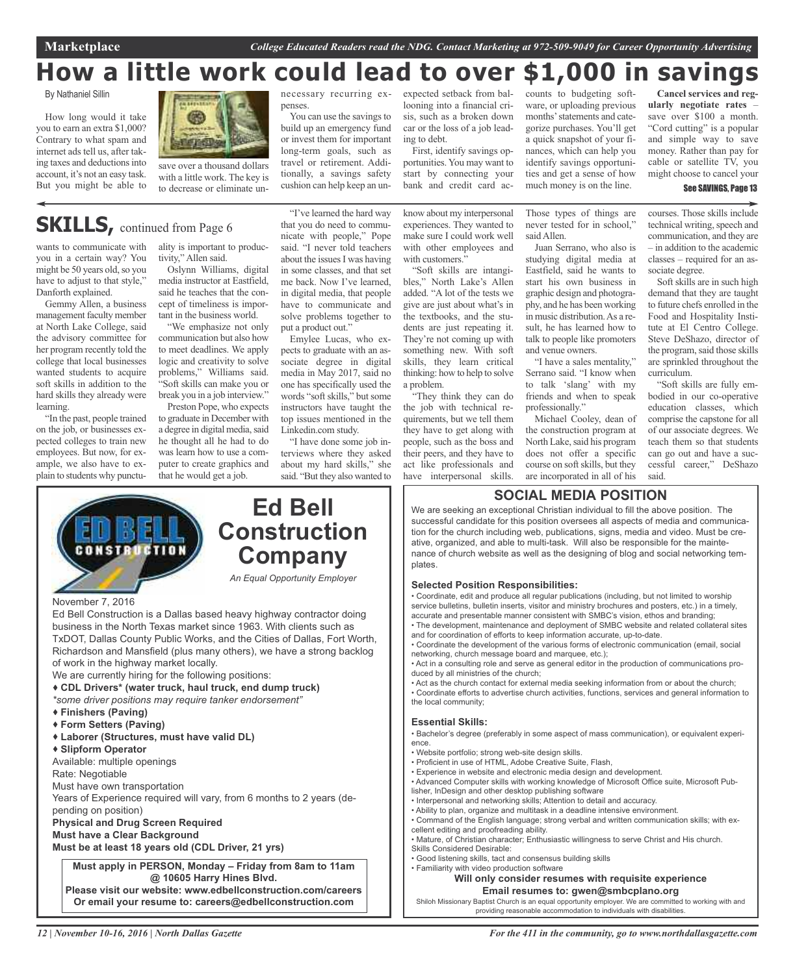**Marketplace** *College Educated Readers read the NDG. Contact Marketing at 972-509-9049 for Career Opportunity Advertising*

## **How a little work could lead to over \$1,000 in savings**

By Nathaniel Sillin

How long would it take you to earn an extra \$1,000? Contrary to what spam and internet ads tell us, after taking taxes and deductions into account, it's not an easy task. But you might be able to



#### necessary recurring expenses.

You can use the savings to build up an emergency fund or invest them for important long-term goals, such as travel or retirement. Additionally, a savings safety cushion can help keep an unexpected setback from ballooning into a financial crisis, such as a broken down car or the loss of a job leading to debt.

First, identify savings opportunities. You may want to start by connecting your bank and credit card accounts to budgeting software, or uploading previous months'statements and categorize purchases. You'll get a quick snapshot of your finances, which can help you identify savings opportunities and get a sense of how much money is on the line.

Those types of things are

**Cancel services and regularly negotiate rates** – save over \$100 a month. "Cord cutting" is a popular and simple way to save money. Rather than pay for cable or satellite TV, you might choose to cancel your

#### See SAVINGS, Page 13

courses. Those skills include technical writing, speech and communication, and they are – in addition to the academic classes – required for an associate degree.

Soft skills are in such high demand that they are taught to future chefs enrolled in the Food and Hospitality Institute at El Centro College. Steve DeShazo, director of the program, said those skills are sprinkled throughout the curriculum.

"Soft skills are fully embodied in our co-operative education classes, which comprise the capstone for all of our associate degrees. We teach them so that students can go out and have a successful career," DeShazo said.

# save over a thousand dollars

with a little work. The key is to decrease or eliminate un-

## **SKILLS**, continued from Page 6

wants to communicate with you in a certain way? You might be 50 years old, so you have to adjust to that style," Danforth explained.

Gemmy Allen, a business management faculty member at North Lake College, said the advisory committee for her program recently told the college that local businesses wanted students to acquire soft skills in addition to the hard skills they already were learning.

"In the past, people trained on the job, or businesses expected colleges to train new employees. But now, for example, we also have to explain to students why punctuality is important to productivity," Allen said.

Oslynn Williams, digital media instructor at Eastfield, said he teaches that the concept of timeliness is important in the business world.

"We emphasize not only communication but also how to meet deadlines. We apply logic and creativity to solve problems," Williams said. "Soft skills can make you or break you in a job interview."

Preston Pope, who expects to graduate in December with a degree in digital media, said he thought all he had to do was learn how to use a computer to create graphics and that he would get a job.

"I've learned the hard way that you do need to communicate with people," Pope said. "I never told teachers about the issues I was having in some classes, and that set me back. Now I've learned, in digital media, that people have to communicate and solve problems together to put a product out."

Emylee Lucas, who expects to graduate with an associate degree in digital media in May 2017, said no one has specifically used the words "soft skills," but some instructors have taught the top issues mentioned in the Linkedin.com study.

"I have done some job interviews where they asked about my hard skills," she said. "But they also wanted to

know about my interpersonal experiences. They wanted to make sure I could work well with other employees and with customers."

"Soft skills are intangibles," North Lake's Allen added. "A lot of the tests we give are just about what's in the textbooks, and the students are just repeating it. They're not coming up with something new. With soft skills, they learn critical thinking: how to help to solve a problem.

their peers, and they have to act like professionals and have interpersonal skills.

never tested for in school," said Allen. Juan Serrano, who also is studying digital media at

Eastfield, said he wants to start his own business in graphic design and photography, and he has been working in music distribution.As a result, he has learned how to talk to people like promoters and venue owners.

"I have a sales mentality," Serrano said. "I know when to talk 'slang' with my friends and when to speak professionally."

Michael Cooley, dean of the construction program at North Lake, said his program does not offer a specific course on soft skills, but they are incorporated in all of his

## **SOCIAL MEDIA POSITION**

We are seeking an exceptional Christian individual to fill the above position. The successful candidate for this position oversees all aspects of media and communication for the church including web, publications, signs, media and video. Must be creative, organized, and able to multi-task. Will also be responsible for the maintenance of church website as well as the designing of blog and social networking templates.

#### **Selected Position Responsibilities:**

• Coordinate, edit and produce all regular publications (including, but not limited to worship service bulletins, bulletin inserts, visitor and ministry brochures and posters, etc.) in a timely, accurate and presentable manner consistent with SMBC's vision, ethos and branding;

• The development, maintenance and deployment of SMBC website and related collateral sites and for coordination of efforts to keep information accurate, up-to-date.

- Coordinate the development of the various forms of electronic communication (email, social networking, church message board and marquee, etc.);
- Act in a consulting role and serve as general editor in the production of communications produced by all ministries of the church;
- Act as the church contact for external media seeking information from or about the church; • Coordinate efforts to advertise church activities, functions, services and general information to the local community;

#### **Essential Skills:**

• Bachelor's degree (preferably in some aspect of mass communication), or equivalent experience.

- Website portfolio; strong web-site design skills.
- Proficient in use of HTML, Adobe Creative Suite, Flash, • Experience in website and electronic media design and development.
- Advanced Computer skills with working knowledge of Microsoft Office suite, Microsoft Pub-
- lisher, InDesign and other desktop publishing software
- Interpersonal and networking skills; Attention to detail and accuracy. • Ability to plan, organize and multitask in a deadline intensive environment.
- Command of the English language; strong verbal and written communication skills; with excellent editing and proofreading ability.
- Mature, of Christian character; Enthusiastic willingness to serve Christ and His church. Skills Considered Desirable:
- Good listening skills, tact and consensus building skills
- Familiarity with video production software

#### **Will only consider resumes with requisite experience Email resumes to: gwen@smbcplano.org**

Shiloh Missionary Baptist Church is an equal opportunity employer. We are committed to working with and providing reasonable accommodation to individuals with disabilities.



Ed Bell Construction is a Dallas based heavy highway contractor doing business in the North Texas market since 1963. With clients such as TxDOT, Dallas County Public Works, and the Cities of Dallas, Fort Worth, Richardson and Mansfield (plus many others), we have a strong backlog of work in the highway market locally.

We are currently hiring for the following positions:

- **CDL Drivers\* (water truck, haul truck, end dump truck)**
- *\*some driver positions may require tanker endorsement"*
- **Finishers (Paving)**
- **Form Setters (Paving)**
- **Laborer (Structures, must have valid DL)**
- **Slipform Operator**

Available: multiple openings

Rate: Negotiable

Must have own transportation

Years of Experience required will vary, from 6 months to 2 years (depending on position)

**Physical and Drug Screen Required**

**Must have a Clear Background**

**Must be at least 18 years old (CDL Driver, 21 yrs)**

**Must apply in PERSON, Monday – Friday from 8am to 11am @ 10605 Harry Hines Blvd. Please visit our website: www.edbellconstruction.com/careers Or email your resume to: careers@edbellconstruction.com**

the job with technical rethey have to get along with people, such as the boss and

"They think they can do quirements, but we tell them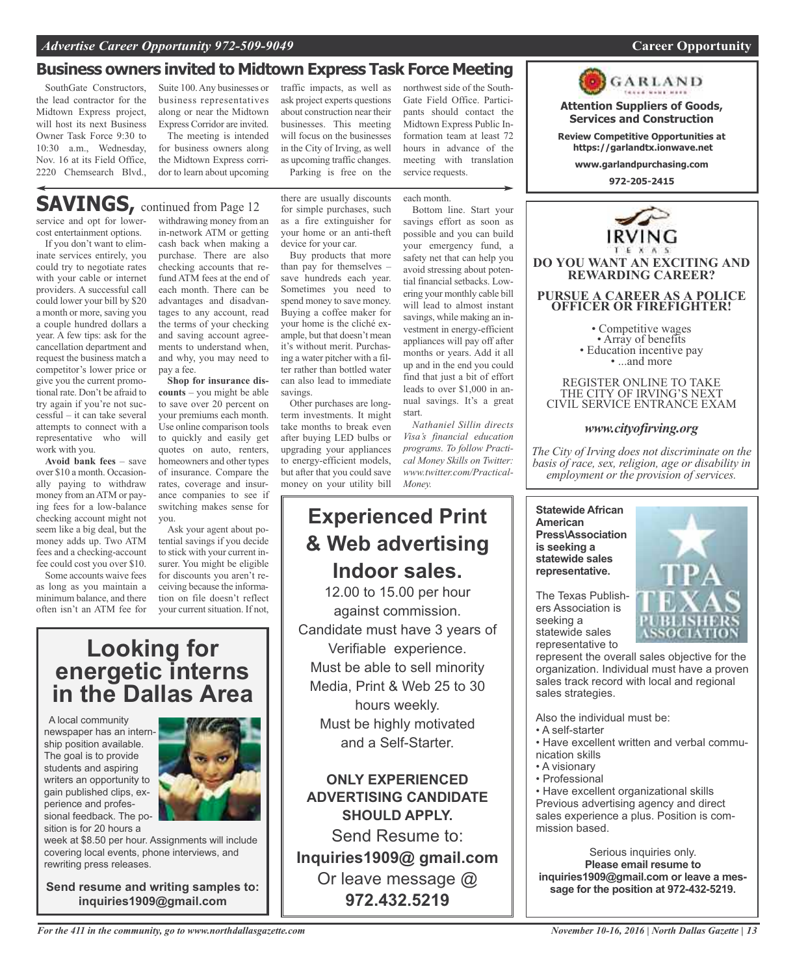## **Business owners invited to Midtown Express Task Force Meeting**

SouthGate Constructors, the lead contractor for the Midtown Express project, will host its next Business Owner Task Force 9:30 to 10:30 a.m., Wednesday, Nov. 16 at its Field Office, 2220 Chemsearch Blvd.,

Suite 100.Any businesses or business representatives along or near the Midtown Express Corridor are invited. The meeting is intended

for business owners along the Midtown Express corridor to learn about upcoming

traffic impacts, as well as ask project experts questions about construction near their businesses. This meeting will focus on the businesses in the City of Irving, as well as upcoming traffic changes. Parking is free on the

there are usually discounts

northwest side of the South-Gate Field Office. Participants should contact the Midtown Express Public Information team at least 72 hours in advance of the meeting with translation service requests.

each month.

## **SAVINGS**, continued from Page 12

service and opt for lowercost entertainment options.

If you don't want to eliminate services entirely, you could try to negotiate rates with your cable or internet providers. A successful call could lower your bill by \$20 a month or more, saving you a couple hundred dollars a year. A few tips: ask for the cancellation department and request the business match a competitor's lower price or give you the current promotional rate. Don't be afraid to try again if you're not successful – it can take several attempts to connect with a representative who will work with you.

**Avoid bank fees** – save over \$10 a month. Occasionally paying to withdraw money from anATM or paying fees for a low-balance checking account might not seem like a big deal, but the money adds up. Two ATM fees and a checking-account fee could cost you over \$10.

Some accounts waive fees as long as you maintain a minimum balance, and there often isn't an ATM fee for

withdrawing money from an in-network ATM or getting cash back when making a purchase. There are also checking accounts that refund ATM fees at the end of each month. There can be advantages and disadvantages to any account, read the terms of your checking and saving account agreements to understand when, and why, you may need to pay a fee.

**Shop for insurance discounts** – you might be able to save over 20 percent on your premiums each month. Use online comparison tools to quickly and easily get quotes on auto, renters, homeowners and other types of insurance. Compare the rates, coverage and insurance companies to see if switching makes sense for you.

Ask your agent about potential savings if you decide to stick with your current insurer. You might be eligible for discounts you aren't receiving because the information on file doesn't reflect your current situation. If not,

**Looking for energetic interns in the Dallas Area**

A local community newspaper has an internship position available. The goal is to provide students and aspiring writers an opportunity to gain published clips, experience and professional feedback. The position is for 20 hours a



week at \$8.50 per hour. Assignments will include covering local events, phone interviews, and rewriting press releases.

**Send resume and writing samples to: inquiries1909@gmail.com**

for simple purchases, such as a fire extinguisher for your home or an anti-theft device for your car. Buy products that more than pay for themselves – save hundreds each year.

Sometimes you need to spend money to save money. Buying a coffee maker for your home is the cliché example, but that doesn't mean it's without merit. Purchasing a water pitcher with a filter rather than bottled water can also lead to immediate savings.

Other purchases are longterm investments. It might take months to break even after buying LED bulbs or upgrading your appliances to energy-efficient models, but after that you could save money on your utility bill

## *Money.* **Experienced Print & Web advertising Indoor sales.**

12.00 to 15.00 per hour against commission. Candidate must have 3 years of Verifiable experience. Must be able to sell minority Media, Print & Web 25 to 30 hours weekly. Must be highly motivated and a Self-Starter.

**ONLY EXPERIENCED ADVERTISING CANDIDATE SHOULD APPLY.**

Send Resume to: **Inquiries1909@ gmail.com** Or leave message @ **972.432.5219**

Bottom line. Start your savings effort as soon as possible and you can build your emergency fund, a safety net that can help you avoid stressing about potential financial setbacks. Lowering your monthly cable bill will lead to almost instant savings, while making an investment in energy-efficient appliances will pay off after months or years. Add it all up and in the end you could find that just a bit of effort leads to over \$1,000 in annual savings. It's a great

start. *Nathaniel Sillin directs Visa's financial education programs. To follow Practical Money Skills on Twitter: www.twitter.com/Practical-*

#### **Statewide African American Press\Association is seeking a statewide sales representative.**

The Texas Publishers Association is seeking a statewide sales representative to

represent the overall sales objective for the organization. Individual must have a proven sales track record with local and regional sales strategies.

Also the individual must be:

- A self-starter
- Have excellent written and verbal communication skills
- A visionary
- Professional

• Have excellent organizational skills Previous advertising agency and direct sales experience a plus. Position is commission based.

Serious inquiries only. **Please email resume to inquiries1909@gmail.com or leave a message for the position at 972-432-5219.**





**Attention Suppliers of Goods, Services and Construction Review Competitive Opportunities at https://garlandtx.ionwave.net www.garlandpurchasing.com 972-205-2415**

GARLAND

**DO YOU WANT AN EXCITING AND REWARDING CAREER?**

**PURSUE A CAREER AS A POLICE OFFICER OR FIREFIGHTER!**

• Competitive wages<br>• Array of benefits<br>• Education incentive pay<br>• ...and more

REGISTER ONLINE TO TAKE THE CITY OF IRVING'S NEXT CIVIL SERVICE ENTRANCE EXAM

*www.cityofirving.org*

*The City of Irving does not discriminate on the basis of race, sex, religion, age or disability in employment or the provision of services.*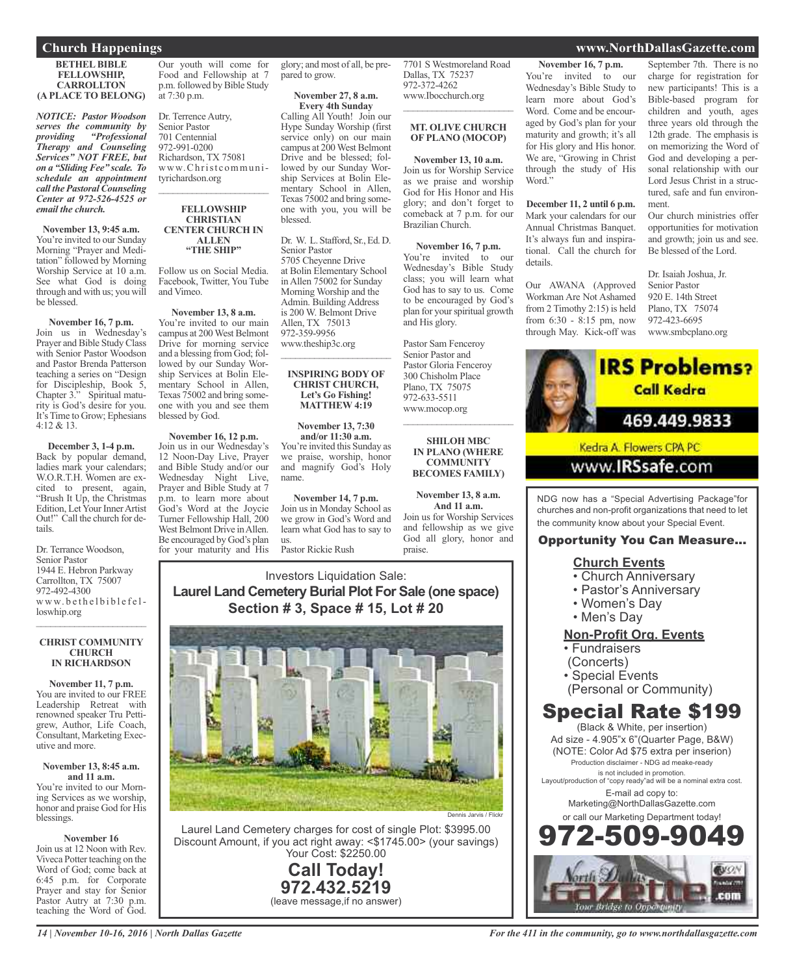#### **BETHEL BIBLE FELLOWSHIP, CARROLLTON (A PLACE TO BELONG)**

*NOTICE: Pastor Woodson serves the community by providing "Professional Therapy and Counseling Services" NOT FREE, but on a "Sliding Fee" scale. To schedule an appointment call the Pastoral Counseling Center at 972-526-4525 or email the church.*

**November 13, 9:45 a.m.** You're invited to our Sunday Morning "Prayer and Meditation" followed by Morning Worship Service at 10 a.m. See what God is doing through and with us; you will be blessed.

**November 16, 7 p.m.** Join us in Wednesday's Prayer and Bible Study Class with Senior Pastor Woodson and Pastor Brenda Patterson teaching a series on "Design for Discipleship, Book 5, Chapter 3." Spiritual maturity is God's desire for you. It's Time to Grow; Ephesians 4:12 & 13.

**December 3, 1-4 p.m.** Back by popular demand, ladies mark your calendars; W.O.R.T.H. Women are excited to present, again, "Brush It Up, the Christmas Edition, Let Your Inner Artist Out!" Call the church for details.

Dr. Terrance Woodson, Senior Pastor 1944 E. Hebron Parkway Carrollton, TX 75007 972-492-4300 www.bethelbiblefelloswhip.org

#### **CHRIST COMMUNITY CHURCH IN RICHARDSON**

 $\overline{\phantom{a}}$  ,  $\overline{\phantom{a}}$  ,  $\overline{\phantom{a}}$  ,  $\overline{\phantom{a}}$  ,  $\overline{\phantom{a}}$  ,  $\overline{\phantom{a}}$  ,  $\overline{\phantom{a}}$  ,  $\overline{\phantom{a}}$  ,  $\overline{\phantom{a}}$  ,  $\overline{\phantom{a}}$  ,  $\overline{\phantom{a}}$  ,  $\overline{\phantom{a}}$  ,  $\overline{\phantom{a}}$  ,  $\overline{\phantom{a}}$  ,  $\overline{\phantom{a}}$  ,  $\overline{\phantom{a}}$ 

**November 11, 7 p.m.** You are invited to our FREE Leadership Retreat with renowned speaker Tru Pettigrew, Author, Life Coach, Consultant, Marketing Executive and more.

#### **November 13, 8:45 a.m. and 11 a.m.**

You're invited to our Morning Services as we worship, honor and praise God for His blessings.

#### **November 16**

Join us at 12 Noon with Rev. Viveca Potter teaching on the Word of God; come back at 6:45 p.m. for Corporate Prayer and stay for Senior Pastor Autry at 7:30 p.m. teaching the Word of God.

Our youth will come for Food and Fellowship at 7 p.m. followed by Bible Study at 7:30 p.m.

Dr. Terrence Autry, Senior Pastor 701 Centennial 972-991-0200 Richardson, TX 75081 www.Christcommunityrichardson.org  $\overline{\phantom{a}}$  ,  $\overline{\phantom{a}}$  ,  $\overline{\phantom{a}}$  ,  $\overline{\phantom{a}}$  ,  $\overline{\phantom{a}}$  ,  $\overline{\phantom{a}}$  ,  $\overline{\phantom{a}}$  ,  $\overline{\phantom{a}}$  ,  $\overline{\phantom{a}}$  ,  $\overline{\phantom{a}}$  ,  $\overline{\phantom{a}}$  ,  $\overline{\phantom{a}}$  ,  $\overline{\phantom{a}}$  ,  $\overline{\phantom{a}}$  ,  $\overline{\phantom{a}}$  ,  $\overline{\phantom{a}}$ 

#### **FELLOWSHIP CHRISTIAN CENTER CHURCH IN ALLEN "THE SHIP"**

Follow us on Social Media. Facebook, Twitter, You Tube and Vimeo.

**November 13, 8 a.m.** You're invited to our main campus at 200 West Belmont Drive for morning service and a blessing from God; followed by our Sunday Worship Services at Bolin Elementary School in Allen, Texas 75002 and bring someone with you and see them blessed by God.

**November 16, 12 p.m.** Join us in our Wednesday's 12 Noon-Day Live, Prayer and Bible Study and/or our Wednesday Night Live, Prayer and Bible Study at 7 p.m. to learn more about God's Word at the Joycie Turner Fellowship Hall, 200 West Belmont Drive in Allen. Be encouraged by God's plan for your maturity and His glory; and most of all, be prepared to grow.

#### **November 27, 8 a.m. Every 4th Sunday**

Calling All Youth! Join our Hype Sunday Worship (first service only) on our main campus at 200 West Belmont Drive and be blessed; followed by our Sunday Worship Services at Bolin Elementary School in Allen, Texas 75002 and bring someone with you, you will be blessed.

Dr. W. L. Stafford, Sr., Ed. D. Senior Pastor 5705 Cheyenne Drive at Bolin Elementary School in Allen 75002 for Sunday Morning Worship and the Admin. Building Address is 200 W. Belmont Drive Allen, TX 75013 972-359-9956 www.theship3c.org

#### **INSPIRING BODY OF CHRIST CHURCH, Let's Go Fishing! MATTHEW 4:19**

 $\overline{\phantom{a}}$  ,  $\overline{\phantom{a}}$  ,  $\overline{\phantom{a}}$  ,  $\overline{\phantom{a}}$  ,  $\overline{\phantom{a}}$  ,  $\overline{\phantom{a}}$  ,  $\overline{\phantom{a}}$  ,  $\overline{\phantom{a}}$  ,  $\overline{\phantom{a}}$  ,  $\overline{\phantom{a}}$  ,  $\overline{\phantom{a}}$  ,  $\overline{\phantom{a}}$  ,  $\overline{\phantom{a}}$  ,  $\overline{\phantom{a}}$  ,  $\overline{\phantom{a}}$  ,  $\overline{\phantom{a}}$ 

**November 13, 7:30 and/or 11:30 a.m.** You're invited this Sunday as we praise, worship, honor and magnify God's Holy name.

**November 14, 7 p.m.** Join us in Monday School as we grow in God's Word and learn what God has to say to us. Pastor Rickie Rush

7701 S Westmoreland Road Dallas, TX 75237 972-372-4262 www.Ibocchurch.org  $\overline{\phantom{a}}$  , and the set of the set of the set of the set of the set of the set of the set of the set of the set of the set of the set of the set of the set of the set of the set of the set of the set of the set of the s

#### **MT. OLIVE CHURCH OF PLANO (MOCOP)**

**November 13, 10 a.m.** Join us for Worship Service as we praise and worship God for His Honor and His glory; and don't forget to comeback at 7 p.m. for our Brazilian Church.

**November 16, 7 p.m.** You're invited to our Wednesday's Bible Study class; you will learn what God has to say to us. Come to be encouraged by God's plan for yourspiritual growth and His glory.

Pastor Sam Fenceroy Senior Pastor and Pastor Gloria Fenceroy 300 Chisholm Place Plano, TX 75075 972-633-5511 www.mocop.org

#### **SHILOH MBC IN PLANO (WHERE COMMUNITY BECOMES FAMILY)**

 $\overline{\phantom{a}}$  , and the set of the set of the set of the set of the set of the set of the set of the set of the set of the set of the set of the set of the set of the set of the set of the set of the set of the set of the s

**November 13, 8 a.m. And 11 a.m.** Join us for Worship Services and fellowship as we give God all glory, honor and praise.

## Investors Liquidation Sale: **Laurel Land Cemetery Burial Plot For Sale (one space) Section # 3, Space # 15, Lot # 20**



Laurel Land Cemetery charges for cost of single Plot: \$3995.00 Discount Amount, if you act right away: <\$1745.00> (your savings) Your Cost: \$2250.00

> **Call Today! 972.432.5219** (leave message,if no answer)

**November 16, 7 p.m.** You're invited to our Wednesday's Bible Study to learn more about God's Word. Come and be encouraged by God's plan for your maturity and growth; it's all for His glory and His honor. We are, "Growing in Christ through the study of His Word."

**December 11, 2 until 6 p.m.** Mark your calendars for our Annual Christmas Banquet. It's always fun and inspirational. Call the church for details.

Our AWANA (Approved Workman Are Not Ashamed from 2 Timothy 2:15) is held from 6:30 - 8:15 pm, now through May. Kick-off was

#### September 7th. There is no charge for registration for new participants! This is a Bible-based program for children and youth, ages three years old through the 12th grade. The emphasis is on memorizing the Word of God and developing a personal relationship with our Lord Jesus Christ in a structured, safe and fun environment.

Our church ministries offer opportunities for motivation and growth; join us and see. Be blessed of the Lord.

Dr. Isaiah Joshua, Jr. Senior Pastor 920 E. 14th Street Plano, TX 75074 972-423-6695 www.smbcplano.org



## www.**IRSsafe**.com

NDG now has a "Special Advertising Package"for churches and non-profit organizations that need to let the community know about your Special Event.

## Opportunity You Can Measure...

## **Church Events**

- Church Anniversary
- Pastor's Anniversary
- Women's Day
- Men's Day

## **Non-Profit Org. Events**

- Fundraisers
- (Concerts)
- Special Events
- (Personal or Community)

## Special Rate \$199

(Black & White, per insertion) Ad size - 4.905"x 6"(Quarter Page, B&W) (NOTE: Color Ad \$75 extra per inserion) Production disclaimer - NDG ad meake-ready is not included in promotion. Layout/production of "copy ready"ad will be a nominal extra cost. E-mail ad copy to: Marketing@NorthDallasGazette.com or call our Marketing Department today! 972-509-9049



## **Church Happenings www.NorthDallasGazette.com**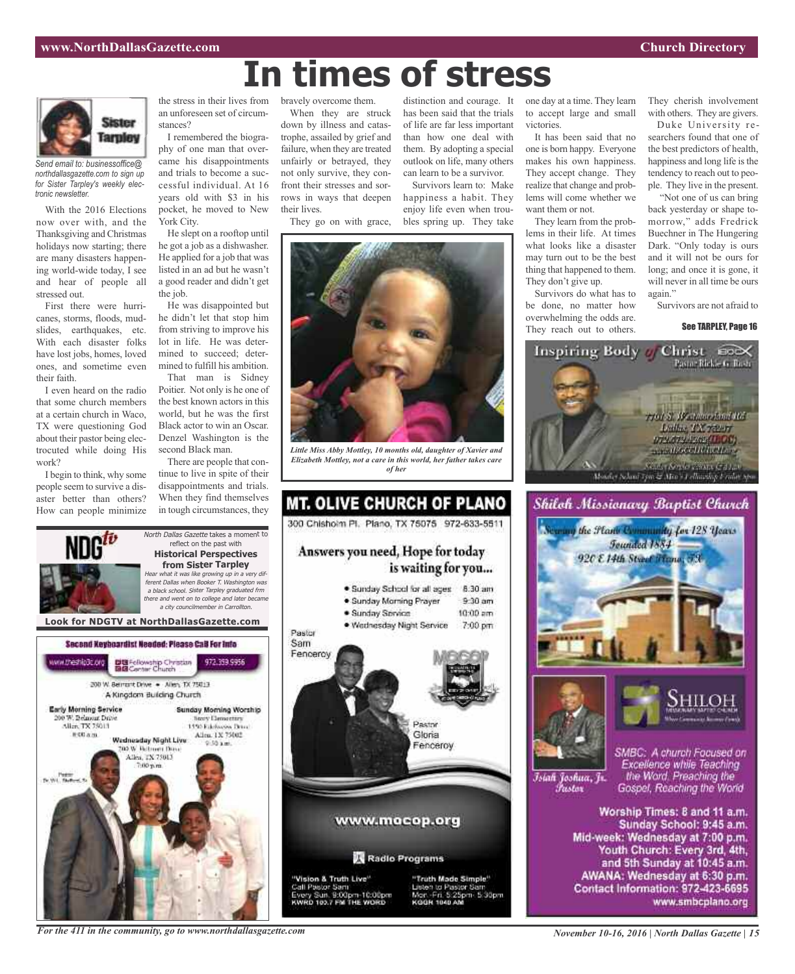

*Send email to: businessoffice@ northdallasgazette.com to sign up for Sister Tarpley's weekly electronic newsletter.*

With the 2016 Elections now over with, and the Thanksgiving and Christmas holidays now starting; there are many disasters happening world-wide today, I see and hear of people all stressed out.

First there were hurricanes, storms, floods, mudslides, earthquakes, etc. With each disaster folks have lost jobs, homes, loved ones, and sometime even their faith.

I even heard on the radio that some church members at a certain church in Waco, TX were questioning God about their pastor being electrocuted while doing His work?

I begin to think, why some people seem to survive a disaster better than others? How can people minimize the stress in their lives from an unforeseen set of circumstances?

I remembered the biography of one man that overcame his disappointments and trials to become a successful individual. At 16 years old with \$3 in his pocket, he moved to New York City.

He slept on a rooftop until he got a job as a dishwasher. He applied for a job that was listed in an ad but he wasn't a good reader and didn't get the job.

He was disappointed but he didn't let that stop him from striving to improve his lot in life. He was determined to succeed; determined to fulfill his ambition.

That man is Sidney Poitier. Not only is he one of the best known actors in this world, but he was the first Black actor to win an Oscar. Denzel Washington is the second Black man.

There are people that continue to live in spite of their disappointments and trials. When they find themselves in tough circumstances, they

bravely overcome them.

When they are struck down by illness and catastrophe, assailed by grief and failure, when they are treated unfairly or betrayed, they not only survive, they confront their stresses and sorrows in ways that deepen their lives.

They go on with grace,

*Little Miss Abby Mottley, 10 months old, daughter of Xavier and Elizabeth Mottley, not a care in this world, her father takes care of her*



than how one deal with them. By adopting a special outlook on life, many others

**In times of stress**

can learn to be a survivor. Survivors learn to: Make happiness a habit. They enjoy life even when troubles spring up. They take

distinction and courage. It has been said that the trials of life are far less important





Jisten to Pastor San Mor: Fri. 5:25pm 5:30pm<br>KGGR 1040 AM one day at a time. They learn to accept large and small victories.

It has been said that no one is born happy. Everyone makes his own happiness. They accept change. They realize that change and problems will come whether we want them or not.

They learn from the problems in their life. At times what looks like a disaster may turn out to be the best thing that happened to them. They don't give up.

Survivors do what has to be done, no matter how overwhelming the odds are. They reach out to others.

They cherish involvement with others. They are givers.

Duke University researchers found that one of the best predictors of health, happiness and long life is the tendency to reach out to people. They live in the present.

"Not one of us can bring back yesterday or shape tomorrow," adds Fredrick Buechner in The Hungering Dark. "Only today is ours and it will not be ours for long; and once it is gone, it will never in all time be ours again.'

Survivors are not afraid to

#### See TARPLEY, Page 16







Islah Joshua, Jr. Fustor

SMBC: A church Focused on Excellence while Teaching the Word. Preaching the Gospel, Reaching the World

Worship Times: 8 and 11 a.m. Sunday School: 9:45 a.m. Mid-week: Wednesday at 7:00 p.m. Youth Church: Every 3rd, 4th, and 5th Sunday at 10:45 a.m. AWANA: Wednesday at 6:30 p.m. Contact Information: 972-423-6695 www.smbcplano.org

*For the 411 in the community, go to www.northdallasgazette.com*